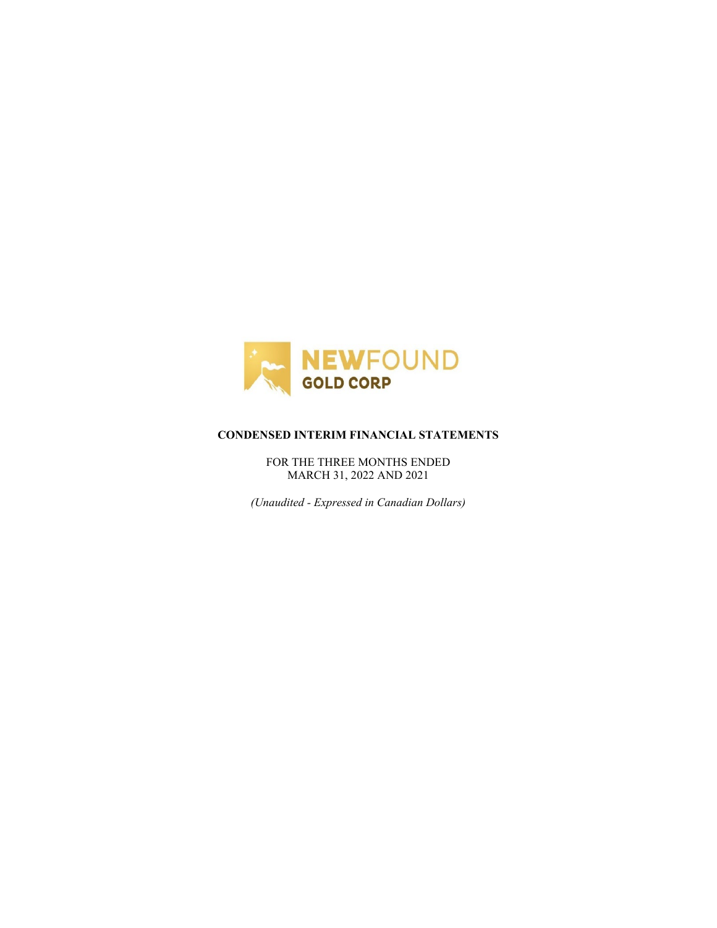

## **CONDENSED INTERIM FINANCIAL STATEMENTS**

FOR THE THREE MONTHS ENDED MARCH 31, 2022 AND 2021

*(Unaudited - Expressed in Canadian Dollars)*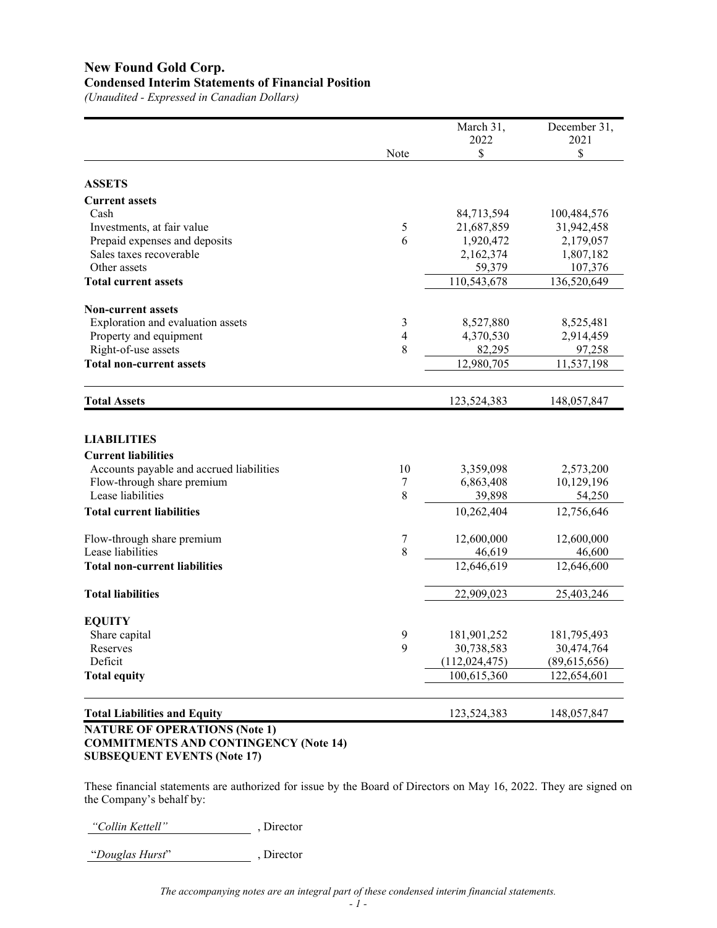# **New Found Gold Corp. Condensed Interim Statements of Financial Position**

*(Unaudited - Expressed in Canadian Dollars)*

|                                              |                          | March 31,       | December 31, |
|----------------------------------------------|--------------------------|-----------------|--------------|
|                                              |                          | 2022            | 2021         |
|                                              | Note                     | \$              | \$           |
| <b>ASSETS</b>                                |                          |                 |              |
| <b>Current assets</b>                        |                          |                 |              |
| Cash                                         |                          | 84,713,594      | 100,484,576  |
| Investments, at fair value                   | 5                        | 21,687,859      | 31,942,458   |
| Prepaid expenses and deposits                | 6                        | 1,920,472       | 2,179,057    |
| Sales taxes recoverable                      |                          | 2,162,374       | 1,807,182    |
| Other assets                                 |                          | 59,379          | 107,376      |
| <b>Total current assets</b>                  |                          | 110,543,678     | 136,520,649  |
| <b>Non-current assets</b>                    |                          |                 |              |
| Exploration and evaluation assets            | 3                        | 8,527,880       | 8,525,481    |
| Property and equipment                       | $\overline{\mathcal{A}}$ | 4,370,530       | 2,914,459    |
| Right-of-use assets                          | 8                        | 82,295          | 97,258       |
| <b>Total non-current assets</b>              |                          | 12,980,705      | 11,537,198   |
|                                              |                          |                 |              |
| <b>Total Assets</b>                          |                          | 123,524,383     | 148,057,847  |
|                                              |                          |                 |              |
| <b>LIABILITIES</b>                           |                          |                 |              |
| <b>Current liabilities</b>                   |                          |                 |              |
| Accounts payable and accrued liabilities     | 10                       | 3,359,098       | 2,573,200    |
| Flow-through share premium                   | 7                        | 6,863,408       | 10,129,196   |
| Lease liabilities                            | 8                        | 39,898          | 54,250       |
| <b>Total current liabilities</b>             |                          | 10,262,404      | 12,756,646   |
| Flow-through share premium                   | 7                        | 12,600,000      | 12,600,000   |
| Lease liabilities                            | 8                        | 46,619          | 46,600       |
| <b>Total non-current liabilities</b>         |                          | 12,646,619      | 12,646,600   |
| <b>Total liabilities</b>                     |                          | 22,909,023      | 25,403,246   |
|                                              |                          |                 |              |
| <b>EQUITY</b>                                |                          |                 |              |
| Share capital                                | 9                        | 181,901,252     | 181,795,493  |
| Reserves                                     | 9                        | 30,738,583      | 30,474,764   |
| Deficit                                      |                          | (112, 024, 475) | (89,615,656) |
| <b>Total equity</b>                          |                          | 100,615,360     | 122,654,601  |
| <b>Total Liabilities and Equity</b>          |                          | 123,524,383     | 148,057,847  |
| <b>NATURE OF OPERATIONS (Note 1)</b>         |                          |                 |              |
| <b>COMMITMENTS AND CONTINGENCY (Note 14)</b> |                          |                 |              |

# **SUBSEQUENT EVENTS (Note 17)**

These financial statements are authorized for issue by the Board of Directors on May 16, 2022. They are signed on the Company's behalf by:

*"Collin Kettell"* , Director

"*Douglas Hurst*" , Director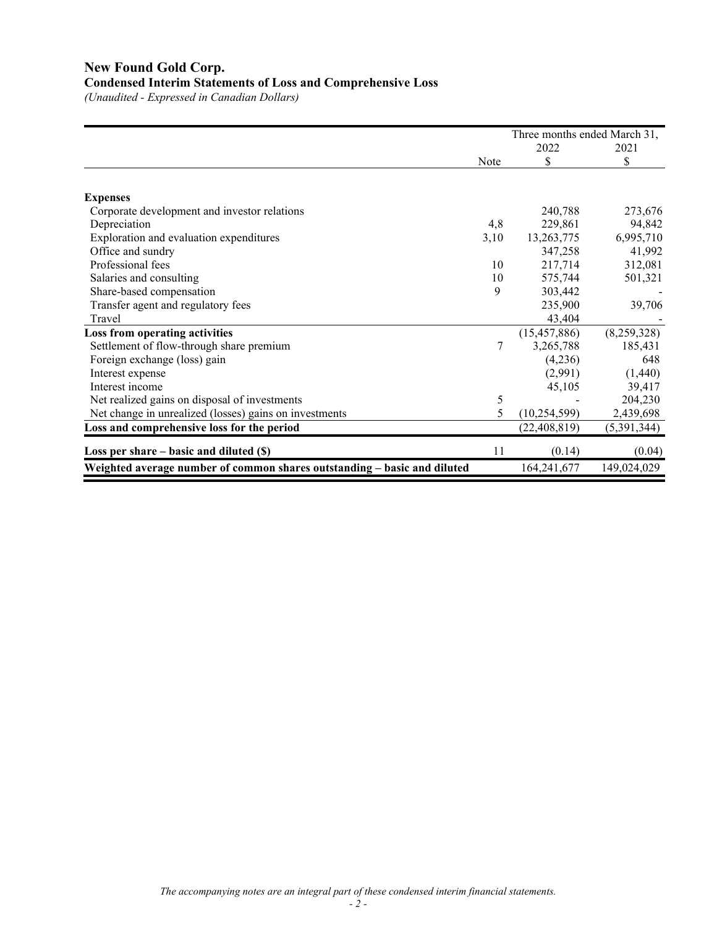# **New Found Gold Corp. Condensed Interim Statements of Loss and Comprehensive Loss**

*(Unaudited - Expressed in Canadian Dollars)*

|                                                                          |      | Three months ended March 31, |             |  |  |
|--------------------------------------------------------------------------|------|------------------------------|-------------|--|--|
|                                                                          |      | 2022                         | 2021        |  |  |
|                                                                          | Note | \$                           | \$          |  |  |
|                                                                          |      |                              |             |  |  |
| <b>Expenses</b>                                                          |      |                              |             |  |  |
| Corporate development and investor relations                             |      | 240,788                      | 273,676     |  |  |
| Depreciation                                                             | 4,8  | 229,861                      | 94,842      |  |  |
| Exploration and evaluation expenditures                                  | 3,10 | 13,263,775                   | 6,995,710   |  |  |
| Office and sundry                                                        |      | 347,258                      | 41,992      |  |  |
| Professional fees                                                        | 10   | 217,714                      | 312,081     |  |  |
| Salaries and consulting                                                  | 10   | 575,744                      | 501,321     |  |  |
| Share-based compensation                                                 | 9    | 303,442                      |             |  |  |
| Transfer agent and regulatory fees                                       |      | 235,900                      | 39,706      |  |  |
| Travel                                                                   |      | 43,404                       |             |  |  |
| Loss from operating activities                                           |      | (15, 457, 886)               | (8,259,328) |  |  |
| Settlement of flow-through share premium                                 | 7    | 3,265,788                    | 185,431     |  |  |
| Foreign exchange (loss) gain                                             |      | (4,236)                      | 648         |  |  |
| Interest expense                                                         |      | (2,991)                      | (1,440)     |  |  |
| Interest income                                                          |      | 45,105                       | 39,417      |  |  |
| Net realized gains on disposal of investments                            | 5    |                              | 204,230     |  |  |
| Net change in unrealized (losses) gains on investments                   | 5    | (10, 254, 599)               | 2,439,698   |  |  |
| Loss and comprehensive loss for the period                               |      | (22, 408, 819)               | (5,391,344) |  |  |
| Loss per share $-$ basic and diluted $(\$)$                              | 11   | (0.14)                       | (0.04)      |  |  |
| Weighted average number of common shares outstanding - basic and diluted |      | 164,241,677                  | 149,024,029 |  |  |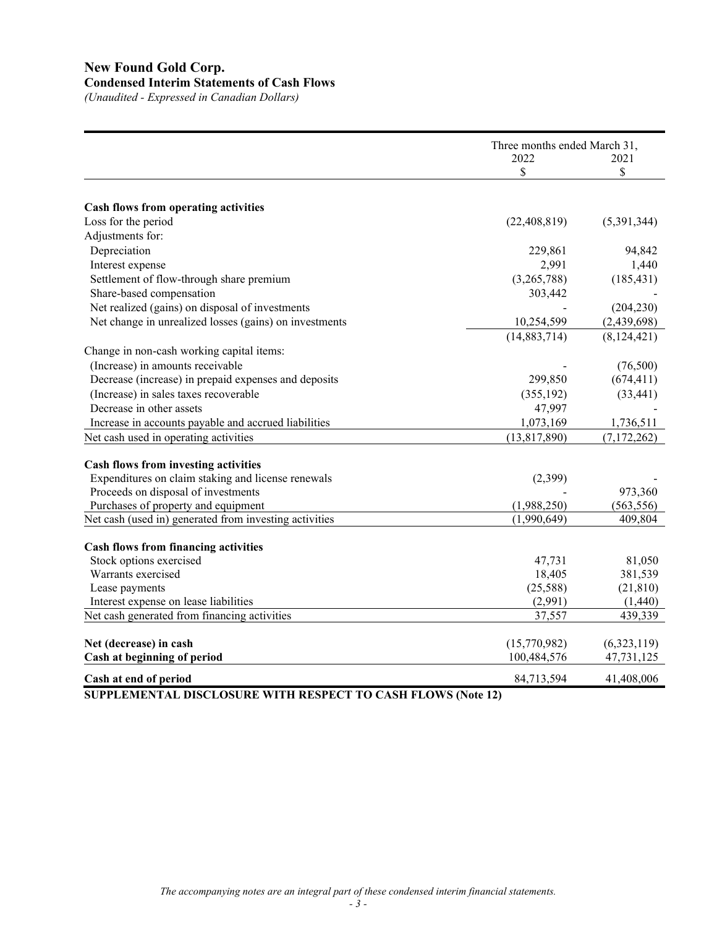# **New Found Gold Corp. Condensed Interim Statements of Cash Flows**

*(Unaudited - Expressed in Canadian Dollars)*

|                                                                               | Three months ended March 31,<br>2022<br>\$ | 2021<br>\$           |
|-------------------------------------------------------------------------------|--------------------------------------------|----------------------|
|                                                                               |                                            |                      |
|                                                                               |                                            |                      |
| Cash flows from operating activities<br>Loss for the period                   | (22, 408, 819)                             | (5,391,344)          |
| Adjustments for:                                                              |                                            |                      |
| Depreciation                                                                  | 229,861                                    | 94,842               |
| Interest expense                                                              | 2,991                                      | 1,440                |
| Settlement of flow-through share premium                                      | (3,265,788)                                | (185, 431)           |
| Share-based compensation                                                      | 303,442                                    |                      |
| Net realized (gains) on disposal of investments                               |                                            | (204, 230)           |
| Net change in unrealized losses (gains) on investments                        | 10,254,599                                 | (2,439,698)          |
|                                                                               | (14,883,714)                               | (8, 124, 421)        |
|                                                                               |                                            |                      |
| Change in non-cash working capital items:<br>(Increase) in amounts receivable |                                            |                      |
| Decrease (increase) in prepaid expenses and deposits                          | 299,850                                    | (76,500)             |
|                                                                               |                                            | (674, 411)           |
| (Increase) in sales taxes recoverable<br>Decrease in other assets             | (355, 192)                                 | (33, 441)            |
|                                                                               | 47,997                                     |                      |
| Increase in accounts payable and accrued liabilities                          | 1,073,169                                  | 1,736,511            |
| Net cash used in operating activities                                         | (13, 817, 890)                             | (7, 172, 262)        |
| Cash flows from investing activities                                          |                                            |                      |
| Expenditures on claim staking and license renewals                            | (2,399)                                    |                      |
| Proceeds on disposal of investments                                           |                                            | 973,360              |
| Purchases of property and equipment                                           | (1,988,250)                                | (563, 556)           |
| Net cash (used in) generated from investing activities                        | (1,990,649)                                | 409,804              |
|                                                                               |                                            |                      |
| <b>Cash flows from financing activities</b>                                   |                                            |                      |
| Stock options exercised<br>Warrants exercised                                 | 47,731                                     | 81,050               |
|                                                                               | 18,405<br>(25,588)                         | 381,539<br>(21, 810) |
| Lease payments<br>Interest expense on lease liabilities                       | (2,991)                                    | (1,440)              |
| Net cash generated from financing activities                                  | 37,557                                     | 439,339              |
|                                                                               |                                            |                      |
| Net (decrease) in cash                                                        | (15,770,982)                               | (6,323,119)          |
| Cash at beginning of period                                                   | 100,484,576                                | 47,731,125           |
|                                                                               |                                            |                      |
| Cash at end of period                                                         | 84,713,594                                 | 41,408,006           |

**SUPPLEMENTAL DISCLOSURE WITH RESPECT TO CASH FLOWS (Note 12)**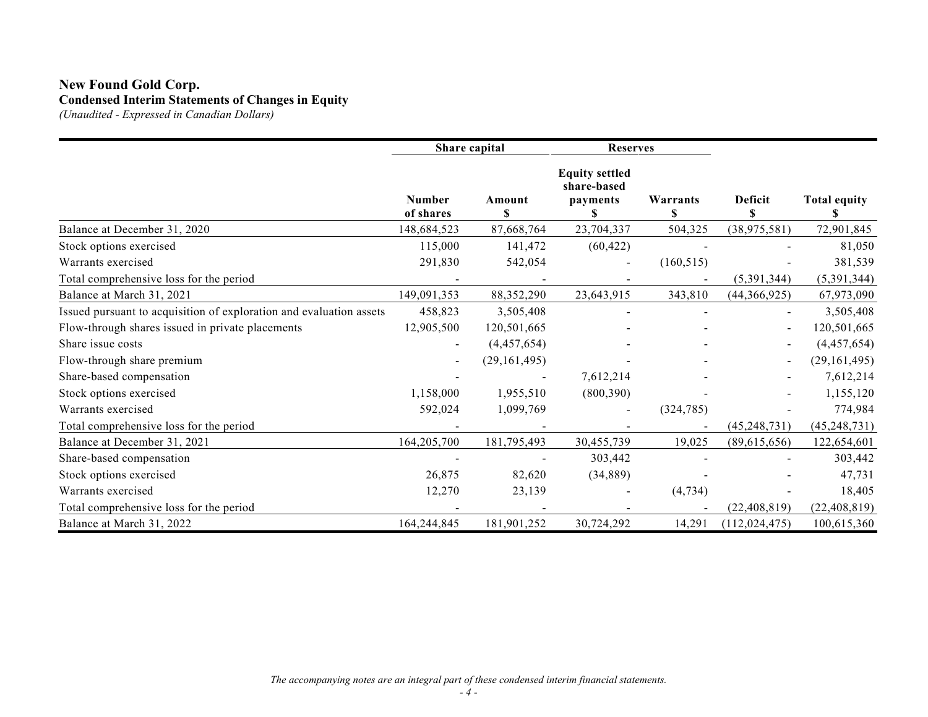# **New Found Gold Corp. Condensed Interim Statements of Changes in Equity**

*(Unaudited - Expressed in Canadian Dollars)*

|                                                                     | Share capital              |                | <b>Reserves</b>                                        |               |                 |                     |
|---------------------------------------------------------------------|----------------------------|----------------|--------------------------------------------------------|---------------|-----------------|---------------------|
|                                                                     | <b>Number</b><br>of shares | Amount<br>\$   | <b>Equity settled</b><br>share-based<br>payments<br>\$ | Warrants<br>S | Deficit<br>\$   | <b>Total equity</b> |
| Balance at December 31, 2020                                        | 148,684,523                | 87,668,764     | 23,704,337                                             | 504,325       | (38, 975, 581)  | 72,901,845          |
| Stock options exercised                                             | 115,000                    | 141,472        | (60, 422)                                              |               |                 | 81,050              |
| Warrants exercised                                                  | 291,830                    | 542,054        |                                                        | (160, 515)    |                 | 381,539             |
| Total comprehensive loss for the period                             |                            |                |                                                        |               | (5,391,344)     | (5,391,344)         |
| Balance at March 31, 2021                                           | 149,091,353                | 88,352,290     | 23,643,915                                             | 343,810       | (44,366,925)    | 67,973,090          |
| Issued pursuant to acquisition of exploration and evaluation assets | 458,823                    | 3,505,408      |                                                        |               |                 | 3,505,408           |
| Flow-through shares issued in private placements                    | 12,905,500                 | 120,501,665    |                                                        |               | $\blacksquare$  | 120,501,665         |
| Share issue costs                                                   |                            | (4,457,654)    |                                                        |               |                 | (4,457,654)         |
| Flow-through share premium                                          | $\blacksquare$             | (29, 161, 495) |                                                        |               |                 | (29, 161, 495)      |
| Share-based compensation                                            |                            |                | 7,612,214                                              |               |                 | 7,612,214           |
| Stock options exercised                                             | 1,158,000                  | 1,955,510      | (800, 390)                                             |               |                 | 1,155,120           |
| Warrants exercised                                                  | 592,024                    | 1,099,769      |                                                        | (324, 785)    |                 | 774,984             |
| Total comprehensive loss for the period                             |                            |                |                                                        |               | (45, 248, 731)  | (45, 248, 731)      |
| Balance at December 31, 2021                                        | 164,205,700                | 181,795,493    | 30,455,739                                             | 19,025        | (89,615,656)    | 122,654,601         |
| Share-based compensation                                            |                            |                | 303,442                                                |               |                 | 303,442             |
| Stock options exercised                                             | 26,875                     | 82,620         | (34, 889)                                              |               |                 | 47,731              |
| Warrants exercised                                                  | 12,270                     | 23,139         |                                                        | (4, 734)      |                 | 18,405              |
| Total comprehensive loss for the period                             |                            |                |                                                        |               | (22, 408, 819)  | (22, 408, 819)      |
| Balance at March 31, 2022                                           | 164,244,845                | 181,901,252    | 30,724,292                                             | 14,291        | (112, 024, 475) | 100,615,360         |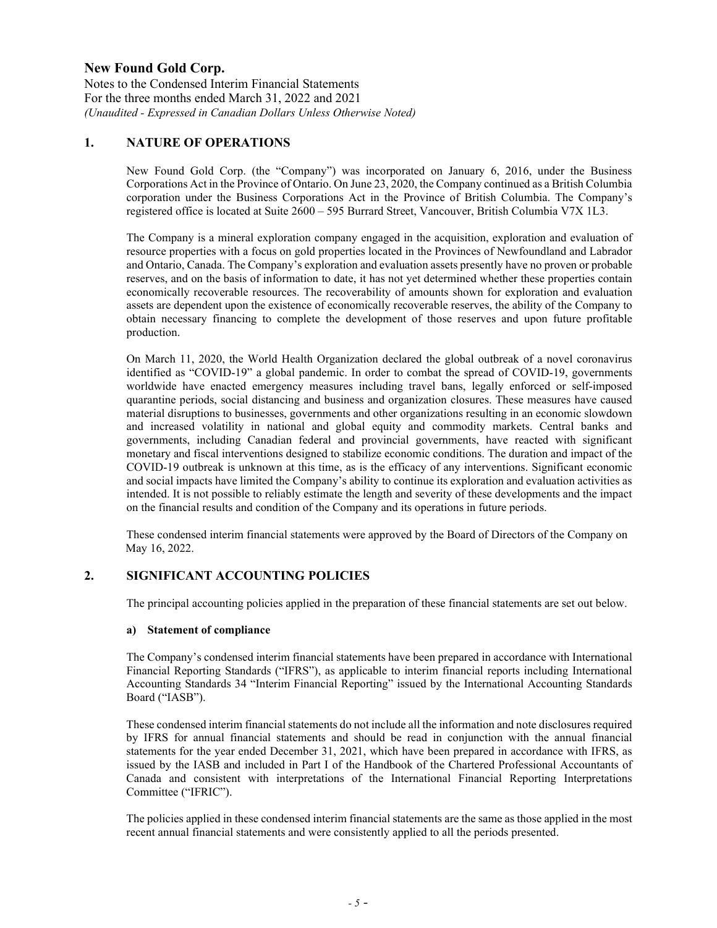Notes to the Condensed Interim Financial Statements For the three months ended March 31, 2022 and 2021 *(Unaudited - Expressed in Canadian Dollars Unless Otherwise Noted)*

## **1. NATURE OF OPERATIONS**

New Found Gold Corp. (the "Company") was incorporated on January 6, 2016, under the Business Corporations Act in the Province of Ontario. On June 23, 2020, the Company continued as a British Columbia corporation under the Business Corporations Act in the Province of British Columbia. The Company's registered office is located at Suite 2600 – 595 Burrard Street, Vancouver, British Columbia V7X 1L3.

The Company is a mineral exploration company engaged in the acquisition, exploration and evaluation of resource properties with a focus on gold properties located in the Provinces of Newfoundland and Labrador and Ontario, Canada. The Company's exploration and evaluation assets presently have no proven or probable reserves, and on the basis of information to date, it has not yet determined whether these properties contain economically recoverable resources. The recoverability of amounts shown for exploration and evaluation assets are dependent upon the existence of economically recoverable reserves, the ability of the Company to obtain necessary financing to complete the development of those reserves and upon future profitable production.

On March 11, 2020, the World Health Organization declared the global outbreak of a novel coronavirus identified as "COVID-19" a global pandemic. In order to combat the spread of COVID-19, governments worldwide have enacted emergency measures including travel bans, legally enforced or self-imposed quarantine periods, social distancing and business and organization closures. These measures have caused material disruptions to businesses, governments and other organizations resulting in an economic slowdown and increased volatility in national and global equity and commodity markets. Central banks and governments, including Canadian federal and provincial governments, have reacted with significant monetary and fiscal interventions designed to stabilize economic conditions. The duration and impact of the COVID-19 outbreak is unknown at this time, as is the efficacy of any interventions. Significant economic and social impacts have limited the Company's ability to continue its exploration and evaluation activities as intended. It is not possible to reliably estimate the length and severity of these developments and the impact on the financial results and condition of the Company and its operations in future periods.

These condensed interim financial statements were approved by the Board of Directors of the Company on May 16, 2022.

## **2. SIGNIFICANT ACCOUNTING POLICIES**

The principal accounting policies applied in the preparation of these financial statements are set out below.

#### **a) Statement of compliance**

The Company's condensed interim financial statements have been prepared in accordance with International Financial Reporting Standards ("IFRS"), as applicable to interim financial reports including International Accounting Standards 34 "Interim Financial Reporting" issued by the International Accounting Standards Board ("IASB").

These condensed interim financial statements do not include all the information and note disclosures required by IFRS for annual financial statements and should be read in conjunction with the annual financial statements for the year ended December 31, 2021, which have been prepared in accordance with IFRS, as issued by the IASB and included in Part I of the Handbook of the Chartered Professional Accountants of Canada and consistent with interpretations of the International Financial Reporting Interpretations Committee ("IFRIC").

The policies applied in these condensed interim financial statements are the same as those applied in the most recent annual financial statements and were consistently applied to all the periods presented.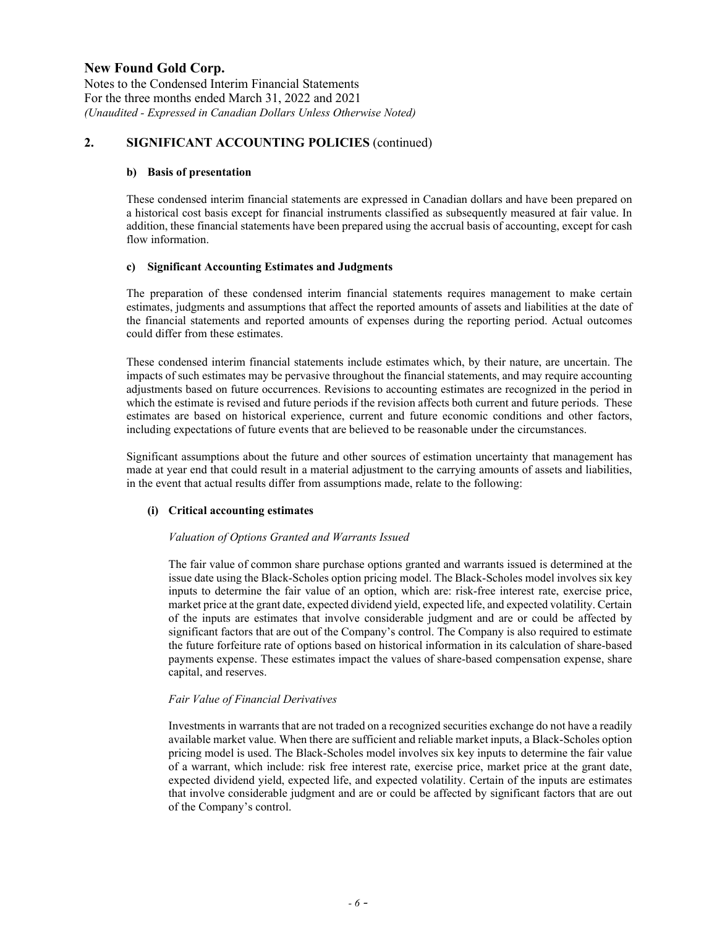Notes to the Condensed Interim Financial Statements For the three months ended March 31, 2022 and 2021 *(Unaudited - Expressed in Canadian Dollars Unless Otherwise Noted)*

## **2. SIGNIFICANT ACCOUNTING POLICIES** (continued)

### **b) Basis of presentation**

These condensed interim financial statements are expressed in Canadian dollars and have been prepared on a historical cost basis except for financial instruments classified as subsequently measured at fair value. In addition, these financial statements have been prepared using the accrual basis of accounting, except for cash flow information.

## **c) Significant Accounting Estimates and Judgments**

The preparation of these condensed interim financial statements requires management to make certain estimates, judgments and assumptions that affect the reported amounts of assets and liabilities at the date of the financial statements and reported amounts of expenses during the reporting period. Actual outcomes could differ from these estimates.

These condensed interim financial statements include estimates which, by their nature, are uncertain. The impacts of such estimates may be pervasive throughout the financial statements, and may require accounting adjustments based on future occurrences. Revisions to accounting estimates are recognized in the period in which the estimate is revised and future periods if the revision affects both current and future periods. These estimates are based on historical experience, current and future economic conditions and other factors, including expectations of future events that are believed to be reasonable under the circumstances.

Significant assumptions about the future and other sources of estimation uncertainty that management has made at year end that could result in a material adjustment to the carrying amounts of assets and liabilities, in the event that actual results differ from assumptions made, relate to the following:

## **(i) Critical accounting estimates**

#### *Valuation of Options Granted and Warrants Issued*

The fair value of common share purchase options granted and warrants issued is determined at the issue date using the Black-Scholes option pricing model. The Black-Scholes model involves six key inputs to determine the fair value of an option, which are: risk-free interest rate, exercise price, market price at the grant date, expected dividend yield, expected life, and expected volatility. Certain of the inputs are estimates that involve considerable judgment and are or could be affected by significant factors that are out of the Company's control. The Company is also required to estimate the future forfeiture rate of options based on historical information in its calculation of share-based payments expense. These estimates impact the values of share-based compensation expense, share capital, and reserves.

#### *Fair Value of Financial Derivatives*

Investments in warrants that are not traded on a recognized securities exchange do not have a readily available market value. When there are sufficient and reliable market inputs, a Black-Scholes option pricing model is used. The Black-Scholes model involves six key inputs to determine the fair value of a warrant, which include: risk free interest rate, exercise price, market price at the grant date, expected dividend yield, expected life, and expected volatility. Certain of the inputs are estimates that involve considerable judgment and are or could be affected by significant factors that are out of the Company's control.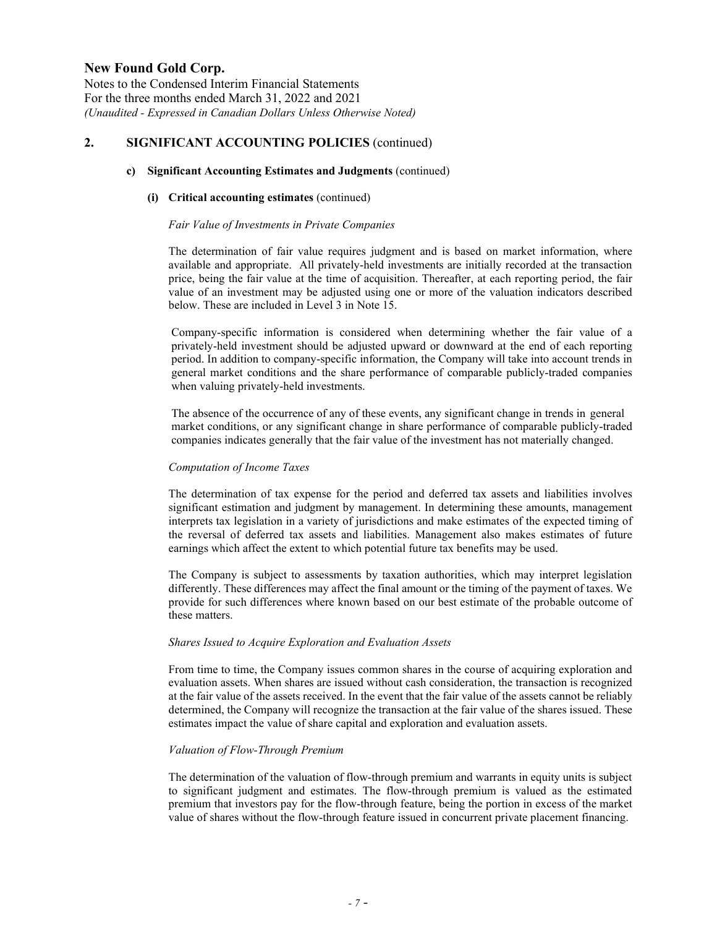Notes to the Condensed Interim Financial Statements For the three months ended March 31, 2022 and 2021 *(Unaudited - Expressed in Canadian Dollars Unless Otherwise Noted)*

## **2. SIGNIFICANT ACCOUNTING POLICIES** (continued)

### **c) Significant Accounting Estimates and Judgments** (continued)

### **(i) Critical accounting estimates** (continued)

### *Fair Value of Investments in Private Companies*

The determination of fair value requires judgment and is based on market information, where available and appropriate. All privately-held investments are initially recorded at the transaction price, being the fair value at the time of acquisition. Thereafter, at each reporting period, the fair value of an investment may be adjusted using one or more of the valuation indicators described below. These are included in Level 3 in Note 15.

Company-specific information is considered when determining whether the fair value of a privately-held investment should be adjusted upward or downward at the end of each reporting period. In addition to company-specific information, the Company will take into account trends in general market conditions and the share performance of comparable publicly-traded companies when valuing privately-held investments.

The absence of the occurrence of any of these events, any significant change in trends in general market conditions, or any significant change in share performance of comparable publicly-traded companies indicates generally that the fair value of the investment has not materially changed.

### *Computation of Income Taxes*

The determination of tax expense for the period and deferred tax assets and liabilities involves significant estimation and judgment by management. In determining these amounts, management interprets tax legislation in a variety of jurisdictions and make estimates of the expected timing of the reversal of deferred tax assets and liabilities. Management also makes estimates of future earnings which affect the extent to which potential future tax benefits may be used.

The Company is subject to assessments by taxation authorities, which may interpret legislation differently. These differences may affect the final amount or the timing of the payment of taxes. We provide for such differences where known based on our best estimate of the probable outcome of these matters.

## *Shares Issued to Acquire Exploration and Evaluation Assets*

From time to time, the Company issues common shares in the course of acquiring exploration and evaluation assets. When shares are issued without cash consideration, the transaction is recognized at the fair value of the assets received. In the event that the fair value of the assets cannot be reliably determined, the Company will recognize the transaction at the fair value of the shares issued. These estimates impact the value of share capital and exploration and evaluation assets.

## *Valuation of Flow-Through Premium*

The determination of the valuation of flow-through premium and warrants in equity units is subject to significant judgment and estimates. The flow-through premium is valued as the estimated premium that investors pay for the flow-through feature, being the portion in excess of the market value of shares without the flow-through feature issued in concurrent private placement financing.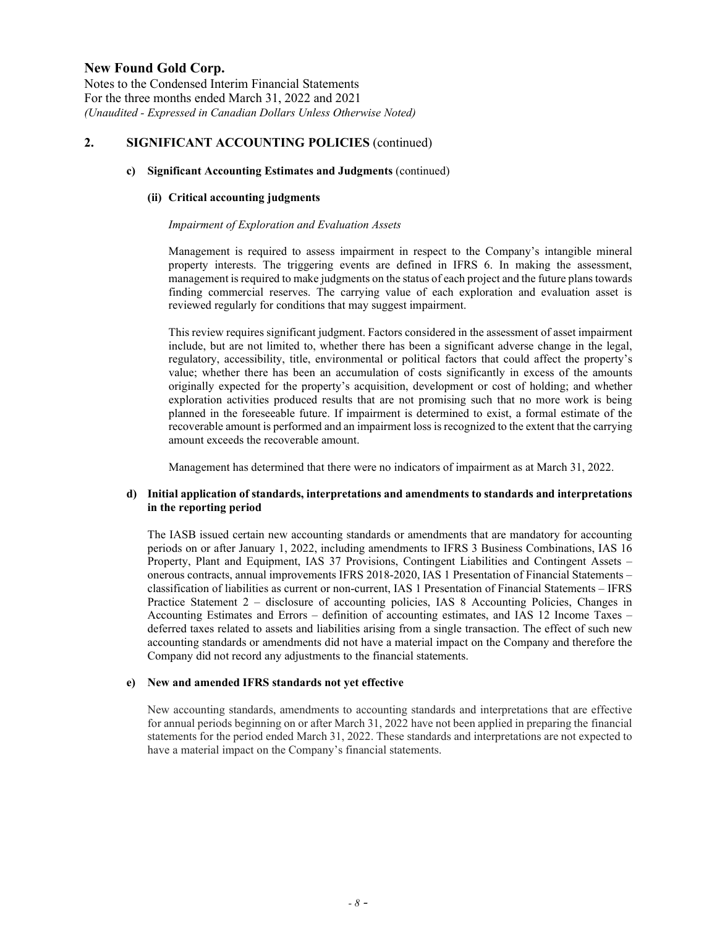Notes to the Condensed Interim Financial Statements For the three months ended March 31, 2022 and 2021 *(Unaudited - Expressed in Canadian Dollars Unless Otherwise Noted)*

## **2. SIGNIFICANT ACCOUNTING POLICIES** (continued)

### **c) Significant Accounting Estimates and Judgments** (continued)

### **(ii) Critical accounting judgments**

### *Impairment of Exploration and Evaluation Assets*

Management is required to assess impairment in respect to the Company's intangible mineral property interests. The triggering events are defined in IFRS 6. In making the assessment, management is required to make judgments on the status of each project and the future plans towards finding commercial reserves. The carrying value of each exploration and evaluation asset is reviewed regularly for conditions that may suggest impairment.

This review requires significant judgment. Factors considered in the assessment of asset impairment include, but are not limited to, whether there has been a significant adverse change in the legal, regulatory, accessibility, title, environmental or political factors that could affect the property's value; whether there has been an accumulation of costs significantly in excess of the amounts originally expected for the property's acquisition, development or cost of holding; and whether exploration activities produced results that are not promising such that no more work is being planned in the foreseeable future. If impairment is determined to exist, a formal estimate of the recoverable amount is performed and an impairment loss is recognized to the extent that the carrying amount exceeds the recoverable amount.

Management has determined that there were no indicators of impairment as at March 31, 2022.

### **d) Initial application of standards, interpretations and amendments to standards and interpretations in the reporting period**

The IASB issued certain new accounting standards or amendments that are mandatory for accounting periods on or after January 1, 2022, including amendments to IFRS 3 Business Combinations, IAS 16 Property, Plant and Equipment, IAS 37 Provisions, Contingent Liabilities and Contingent Assets – onerous contracts, annual improvements IFRS 2018-2020, IAS 1 Presentation of Financial Statements – classification of liabilities as current or non-current, IAS 1 Presentation of Financial Statements – IFRS Practice Statement 2 – disclosure of accounting policies, IAS 8 Accounting Policies, Changes in Accounting Estimates and Errors – definition of accounting estimates, and IAS 12 Income Taxes – deferred taxes related to assets and liabilities arising from a single transaction. The effect of such new accounting standards or amendments did not have a material impact on the Company and therefore the Company did not record any adjustments to the financial statements.

## **e) New and amended IFRS standards not yet effective**

New accounting standards, amendments to accounting standards and interpretations that are effective for annual periods beginning on or after March 31, 2022 have not been applied in preparing the financial statements for the period ended March 31, 2022. These standards and interpretations are not expected to have a material impact on the Company's financial statements.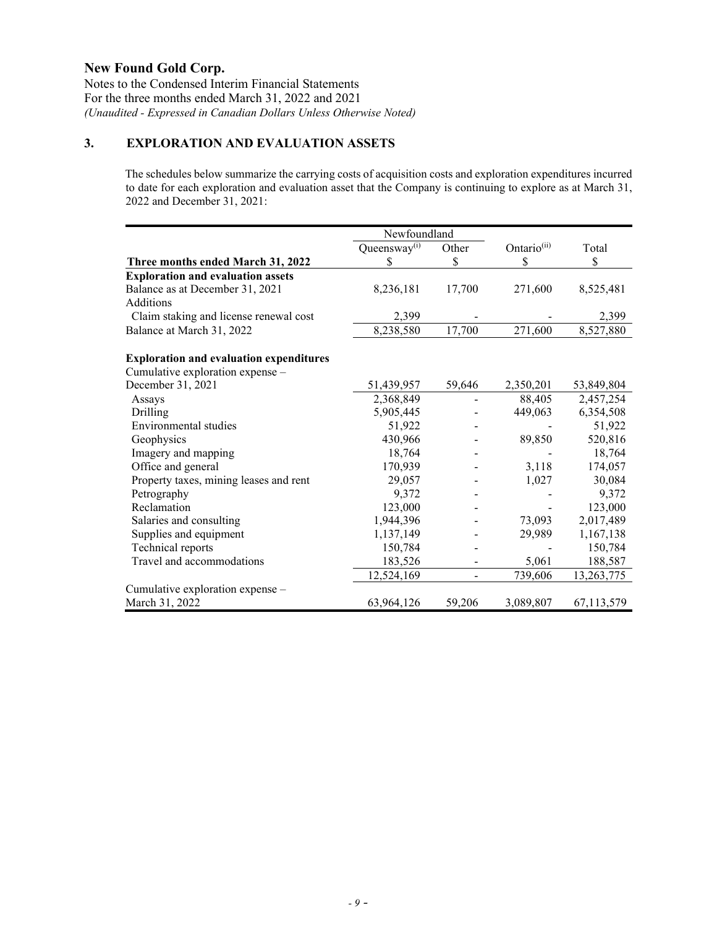Notes to the Condensed Interim Financial Statements For the three months ended March 31, 2022 and 2021 *(Unaudited - Expressed in Canadian Dollars Unless Otherwise Noted)*

# **3. EXPLORATION AND EVALUATION ASSETS**

The schedules below summarize the carrying costs of acquisition costs and exploration expenditures incurred to date for each exploration and evaluation asset that the Company is continuing to explore as at March 31, 2022 and December 31, 2021:

|                                                | Newfoundland    |        |                         |            |  |
|------------------------------------------------|-----------------|--------|-------------------------|------------|--|
|                                                | Queensway $(i)$ | Other  | Ontario <sup>(ii)</sup> | Total      |  |
| Three months ended March 31, 2022              | S               | \$     | \$.                     | \$         |  |
| <b>Exploration and evaluation assets</b>       |                 |        |                         |            |  |
| Balance as at December 31, 2021                | 8,236,181       | 17,700 | 271,600                 | 8,525,481  |  |
| Additions                                      |                 |        |                         |            |  |
| Claim staking and license renewal cost         | 2,399           |        |                         | 2,399      |  |
| Balance at March 31, 2022                      | 8,238,580       | 17,700 | 271,600                 | 8,527,880  |  |
| <b>Exploration and evaluation expenditures</b> |                 |        |                         |            |  |
| Cumulative exploration expense -               |                 |        |                         |            |  |
| December 31, 2021                              | 51,439,957      | 59,646 | 2,350,201               | 53,849,804 |  |
| Assays                                         | 2,368,849       |        | 88,405                  | 2,457,254  |  |
| Drilling                                       | 5,905,445       |        | 449,063                 | 6,354,508  |  |
| Environmental studies                          | 51,922          |        |                         | 51,922     |  |
| Geophysics                                     | 430,966         |        | 89,850                  | 520,816    |  |
| Imagery and mapping                            | 18,764          |        |                         | 18,764     |  |
| Office and general                             | 170,939         |        | 3,118                   | 174,057    |  |
| Property taxes, mining leases and rent         | 29,057          |        | 1,027                   | 30,084     |  |
| Petrography                                    | 9,372           |        |                         | 9,372      |  |
| Reclamation                                    | 123,000         |        |                         | 123,000    |  |
| Salaries and consulting                        | 1,944,396       |        | 73,093                  | 2,017,489  |  |
| Supplies and equipment                         | 1,137,149       |        | 29,989                  | 1,167,138  |  |
| Technical reports                              | 150,784         |        |                         | 150,784    |  |
| Travel and accommodations                      | 183,526         |        | 5,061                   | 188,587    |  |
|                                                | 12,524,169      |        | 739,606                 | 13,263,775 |  |
| Cumulative exploration expense -               |                 |        |                         |            |  |
| March 31, 2022                                 | 63,964,126      | 59,206 | 3,089,807               | 67,113,579 |  |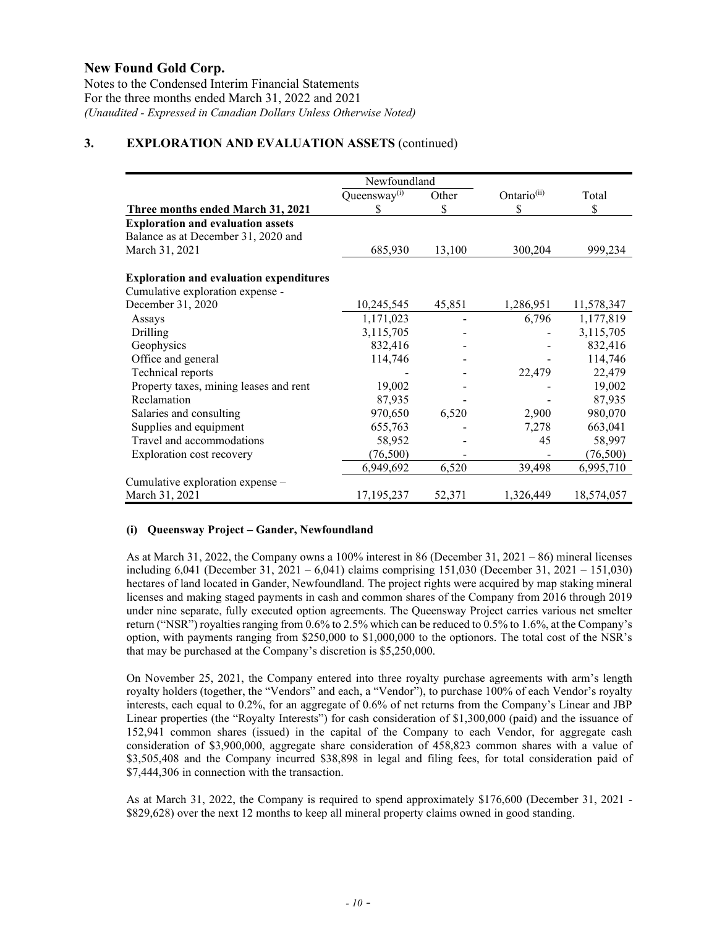Notes to the Condensed Interim Financial Statements For the three months ended March 31, 2022 and 2021 *(Unaudited - Expressed in Canadian Dollars Unless Otherwise Noted)*

## **3. EXPLORATION AND EVALUATION ASSETS** (continued)

|                                                | Newfoundland             |        |                         |            |  |
|------------------------------------------------|--------------------------|--------|-------------------------|------------|--|
|                                                | Queensway <sup>(i)</sup> | Other  | Ontario <sup>(ii)</sup> | Total      |  |
| Three months ended March 31, 2021              | S                        | \$     | \$                      | \$         |  |
| <b>Exploration and evaluation assets</b>       |                          |        |                         |            |  |
| Balance as at December 31, 2020 and            |                          |        |                         |            |  |
| March 31, 2021                                 | 685,930                  | 13,100 | 300,204                 | 999,234    |  |
| <b>Exploration and evaluation expenditures</b> |                          |        |                         |            |  |
| Cumulative exploration expense -               |                          |        |                         |            |  |
| December 31, 2020                              | 10,245,545               | 45,851 | 1,286,951               | 11,578,347 |  |
| Assays                                         | 1,171,023                |        | 6,796                   | 1,177,819  |  |
| Drilling                                       | 3,115,705                |        |                         | 3,115,705  |  |
| Geophysics                                     | 832,416                  |        |                         | 832,416    |  |
| Office and general                             | 114,746                  |        |                         | 114,746    |  |
| Technical reports                              |                          |        | 22,479                  | 22,479     |  |
| Property taxes, mining leases and rent         | 19,002                   |        |                         | 19,002     |  |
| Reclamation                                    | 87,935                   |        |                         | 87,935     |  |
| Salaries and consulting                        | 970,650                  | 6,520  | 2,900                   | 980,070    |  |
| Supplies and equipment                         | 655,763                  |        | 7,278                   | 663,041    |  |
| Travel and accommodations                      | 58,952                   |        | 45                      | 58,997     |  |
| Exploration cost recovery                      | (76, 500)                |        |                         | (76,500)   |  |
|                                                | 6,949,692                | 6,520  | 39,498                  | 6,995,710  |  |
| Cumulative exploration expense -               |                          |        |                         |            |  |
| March 31, 2021                                 | 17,195,237               | 52,371 | 1,326,449               | 18,574,057 |  |

## **(i) Queensway Project – Gander, Newfoundland**

As at March 31, 2022, the Company owns a 100% interest in 86 (December 31, 2021 – 86) mineral licenses including 6,041 (December 31, 2021 – 6,041) claims comprising 151,030 (December 31, 2021 – 151,030) hectares of land located in Gander, Newfoundland. The project rights were acquired by map staking mineral licenses and making staged payments in cash and common shares of the Company from 2016 through 2019 under nine separate, fully executed option agreements. The Queensway Project carries various net smelter return ("NSR") royalties ranging from 0.6% to 2.5% which can be reduced to 0.5% to 1.6%, at the Company's option, with payments ranging from \$250,000 to \$1,000,000 to the optionors. The total cost of the NSR's that may be purchased at the Company's discretion is \$5,250,000.

On November 25, 2021, the Company entered into three royalty purchase agreements with arm's length royalty holders (together, the "Vendors" and each, a "Vendor"), to purchase 100% of each Vendor's royalty interests, each equal to 0.2%, for an aggregate of 0.6% of net returns from the Company's Linear and JBP Linear properties (the "Royalty Interests") for cash consideration of \$1,300,000 (paid) and the issuance of 152,941 common shares (issued) in the capital of the Company to each Vendor, for aggregate cash consideration of \$3,900,000, aggregate share consideration of 458,823 common shares with a value of \$3,505,408 and the Company incurred \$38,898 in legal and filing fees, for total consideration paid of \$7,444,306 in connection with the transaction.

As at March 31, 2022, the Company is required to spend approximately \$176,600 (December 31, 2021 - \$829,628) over the next 12 months to keep all mineral property claims owned in good standing.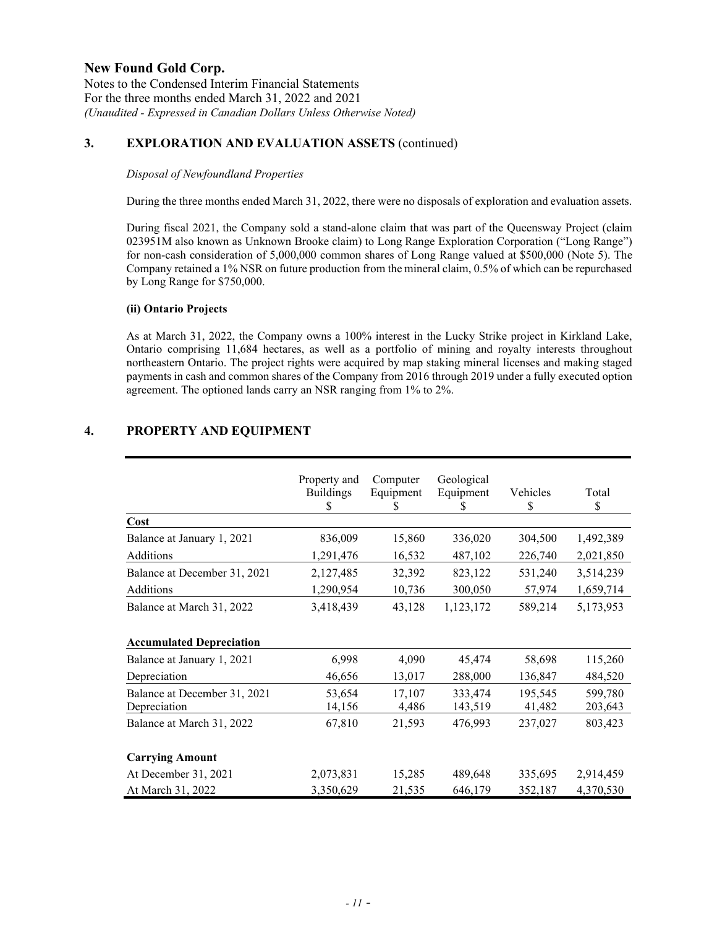Notes to the Condensed Interim Financial Statements For the three months ended March 31, 2022 and 2021 *(Unaudited - Expressed in Canadian Dollars Unless Otherwise Noted)*

# **3. EXPLORATION AND EVALUATION ASSETS** (continued)

### *Disposal of Newfoundland Properties*

During the three months ended March 31, 2022, there were no disposals of exploration and evaluation assets.

During fiscal 2021, the Company sold a stand-alone claim that was part of the Queensway Project (claim 023951M also known as Unknown Brooke claim) to Long Range Exploration Corporation ("Long Range") for non-cash consideration of 5,000,000 common shares of Long Range valued at \$500,000 (Note 5). The Company retained a 1% NSR on future production from the mineral claim, 0.5% of which can be repurchased by Long Range for \$750,000.

## **(ii) Ontario Projects**

As at March 31, 2022, the Company owns a 100% interest in the Lucky Strike project in Kirkland Lake, Ontario comprising 11,684 hectares, as well as a portfolio of mining and royalty interests throughout northeastern Ontario. The project rights were acquired by map staking mineral licenses and making staged payments in cash and common shares of the Company from 2016 through 2019 under a fully executed option agreement. The optioned lands carry an NSR ranging from 1% to 2%.

## **4. PROPERTY AND EQUIPMENT**

| Cost                                         | Property and<br><b>Buildings</b><br>\$ | Computer<br>Equipment<br>S | Geological<br>Equipment<br>S | Vehicles<br>\$    | Total<br>\$        |
|----------------------------------------------|----------------------------------------|----------------------------|------------------------------|-------------------|--------------------|
| Balance at January 1, 2021                   | 836,009                                | 15,860                     | 336,020                      | 304,500           | 1,492,389          |
| Additions                                    | 1,291,476                              | 16,532                     | 487,102                      | 226,740           | 2,021,850          |
| Balance at December 31, 2021                 | 2,127,485                              | 32,392                     | 823,122                      | 531,240           | 3,514,239          |
| Additions                                    | 1,290,954                              | 10,736                     | 300,050                      | 57,974            | 1,659,714          |
| Balance at March 31, 2022                    | 3,418,439                              | 43,128                     | 1,123,172                    | 589,214           | 5,173,953          |
| <b>Accumulated Depreciation</b>              |                                        |                            |                              |                   |                    |
| Balance at January 1, 2021                   | 6,998                                  | 4,090                      | 45,474                       | 58,698            | 115,260            |
| Depreciation                                 | 46,656                                 | 13,017                     | 288,000                      | 136,847           | 484,520            |
| Balance at December 31, 2021<br>Depreciation | 53,654<br>14,156                       | 17,107<br>4,486            | 333,474<br>143,519           | 195,545<br>41,482 | 599,780<br>203,643 |
| Balance at March 31, 2022                    | 67,810                                 | 21,593                     | 476,993                      | 237,027           | 803,423            |
| <b>Carrying Amount</b>                       |                                        |                            |                              |                   |                    |
| At December 31, 2021                         | 2,073,831                              | 15,285                     | 489,648                      | 335,695           | 2,914,459          |
| At March 31, 2022                            | 3,350,629                              | 21,535                     | 646,179                      | 352,187           | 4,370,530          |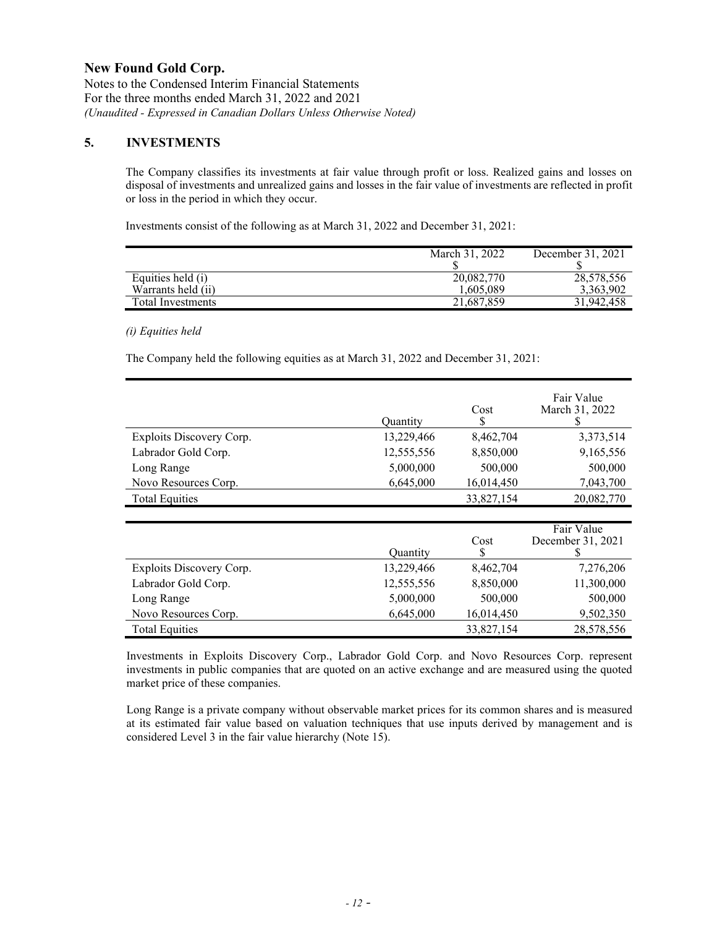Notes to the Condensed Interim Financial Statements For the three months ended March 31, 2022 and 2021 *(Unaudited - Expressed in Canadian Dollars Unless Otherwise Noted)*

## **5. INVESTMENTS**

The Company classifies its investments at fair value through profit or loss. Realized gains and losses on disposal of investments and unrealized gains and losses in the fair value of investments are reflected in profit or loss in the period in which they occur.

Investments consist of the following as at March 31, 2022 and December 31, 2021:

|                    | March 31, 2022 | December 31, 2021 |
|--------------------|----------------|-------------------|
|                    |                |                   |
| Equities held (i)  | 20,082,770     | 28,578,556        |
| Warrants held (ii) | 1.605.089      | 3,363,902         |
| Total Investments  | 21,687,859     | 31.942.458        |

## *(i) Equities held*

The Company held the following equities as at March 31, 2022 and December 31, 2021:

| Exploits Discovery Corp.<br>Labrador Gold Corp.<br>Long Range<br>Novo Resources Corp. | Quantity<br>13,229,466<br>12,555,556<br>5,000,000<br>6,645,000 | Cost<br>S<br>8,462,704<br>8,850,000<br>500,000<br>16,014,450 | Fair Value<br>March 31, 2022<br>3,373,514<br>9,165,556<br>500,000<br>7,043,700 |
|---------------------------------------------------------------------------------------|----------------------------------------------------------------|--------------------------------------------------------------|--------------------------------------------------------------------------------|
| <b>Total Equities</b>                                                                 |                                                                | 33,827,154                                                   | 20,082,770                                                                     |
|                                                                                       |                                                                |                                                              |                                                                                |
|                                                                                       | Quantity                                                       | Cost<br>\$                                                   | Fair Value<br>December 31, 2021<br>S                                           |
| Exploits Discovery Corp.                                                              | 13,229,466                                                     | 8,462,704                                                    | 7,276,206                                                                      |
| Labrador Gold Corp.                                                                   | 12,555,556                                                     | 8,850,000                                                    | 11,300,000                                                                     |
| Long Range                                                                            | 5,000,000                                                      | 500,000                                                      | 500,000                                                                        |
| Novo Resources Corp.                                                                  | 6,645,000                                                      | 16,014,450                                                   | 9,502,350                                                                      |
| <b>Total Equities</b>                                                                 |                                                                | 33,827,154                                                   | 28,578,556                                                                     |

Investments in Exploits Discovery Corp., Labrador Gold Corp. and Novo Resources Corp. represent investments in public companies that are quoted on an active exchange and are measured using the quoted market price of these companies.

Long Range is a private company without observable market prices for its common shares and is measured at its estimated fair value based on valuation techniques that use inputs derived by management and is considered Level 3 in the fair value hierarchy (Note 15).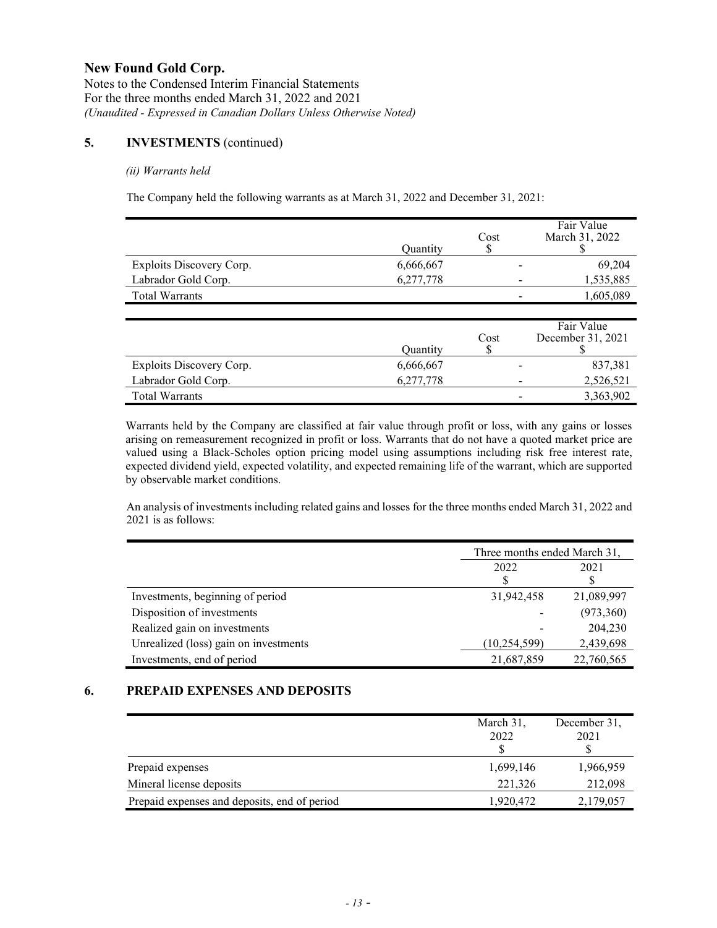Notes to the Condensed Interim Financial Statements For the three months ended March 31, 2022 and 2021 *(Unaudited - Expressed in Canadian Dollars Unless Otherwise Noted)*

## **5. INVESTMENTS** (continued)

### *(ii) Warrants held*

The Company held the following warrants as at March 31, 2022 and December 31, 2021:

|                          |                 |      | Fair Value        |
|--------------------------|-----------------|------|-------------------|
|                          |                 | Cost | March 31, 2022    |
|                          | <b>Quantity</b> |      |                   |
| Exploits Discovery Corp. | 6,666,667       |      | 69,204            |
| Labrador Gold Corp.      | 6,277,778       |      | 1,535,885         |
| <b>Total Warrants</b>    |                 |      | 1,605,089         |
|                          |                 |      |                   |
|                          |                 |      | Fair Value        |
|                          |                 | Cost | December 31, 2021 |
|                          | Quantity        | J    |                   |
| Exploits Discovery Corp. | 6,666,667       |      | 837,381           |
| Labrador Gold Corp.      | 6,277,778       |      | 2,526,521         |
| <b>Total Warrants</b>    |                 |      | 3,363,902         |

Warrants held by the Company are classified at fair value through profit or loss, with any gains or losses arising on remeasurement recognized in profit or loss. Warrants that do not have a quoted market price are valued using a Black-Scholes option pricing model using assumptions including risk free interest rate, expected dividend yield, expected volatility, and expected remaining life of the warrant, which are supported by observable market conditions.

An analysis of investments including related gains and losses for the three months ended March 31, 2022 and 2021 is as follows:

|                                       | Three months ended March 31, |            |  |
|---------------------------------------|------------------------------|------------|--|
|                                       | 2022                         | 2021       |  |
|                                       |                              |            |  |
| Investments, beginning of period      | 31,942,458                   | 21,089,997 |  |
| Disposition of investments            |                              | (973,360)  |  |
| Realized gain on investments          |                              | 204,230    |  |
| Unrealized (loss) gain on investments | (10, 254, 599)               | 2,439,698  |  |
| Investments, end of period            | 21,687,859                   | 22,760,565 |  |

# **6. PREPAID EXPENSES AND DEPOSITS**

|                                              | March 31,<br>2022 | December 31,<br>2021 |
|----------------------------------------------|-------------------|----------------------|
| Prepaid expenses                             | 1,699,146         | 1,966,959            |
| Mineral license deposits                     | 221,326           | 212,098              |
| Prepaid expenses and deposits, end of period | 1,920,472         | 2,179,057            |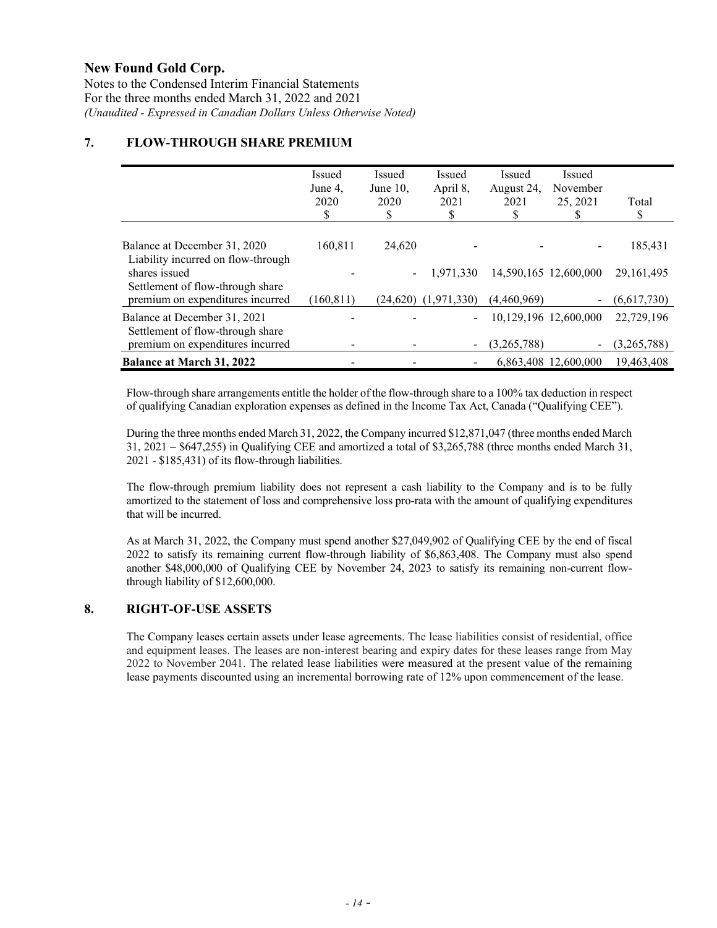Notes to the Condensed Interim Financial Statements For the three months ended March 31, 2022 and 2021 *(Unaudited - Expressed in Canadian Dollars Unless Otherwise Noted)*

# **7. FLOW-THROUGH SHARE PREMIUM**

|                                                                                       | Issued<br>June 4,<br>2020<br>\$ | <b>Issued</b><br>June $10$ ,<br>2020<br>\$ | Issued<br>April 8,<br>2021            | <b>Issued</b><br>August 24,<br>2021 | Issued<br>November<br>25, 2021 | Total<br>\$                 |
|---------------------------------------------------------------------------------------|---------------------------------|--------------------------------------------|---------------------------------------|-------------------------------------|--------------------------------|-----------------------------|
| Balance at December 31, 2020<br>Liability incurred on flow-through                    | 160,811                         | 24,620                                     |                                       |                                     |                                | 185,431                     |
| shares issued<br>Settlement of flow-through share<br>premium on expenditures incurred | (160, 811)                      |                                            | 1,971,330<br>$(24,620)$ $(1,971,330)$ | (4,460,969)                         | 14,590,165 12,600,000          | 29, 161, 495<br>(6,617,730) |
| Balance at December 31, 2021<br>Settlement of flow-through share                      |                                 |                                            |                                       |                                     | 10,129,196 12,600,000          | 22,729,196                  |
| premium on expenditures incurred<br><b>Balance at March 31, 2022</b>                  |                                 |                                            | ۰.                                    | (3,265,788)                         | -<br>6,863,408 12,600,000      | (3,265,788)<br>19,463,408   |

Flow-through share arrangements entitle the holder of the flow-through share to a 100% tax deduction in respect of qualifying Canadian exploration expenses as defined in the Income Tax Act, Canada ("Qualifying CEE").

During the three months ended March 31, 2022, the Company incurred \$12,871,047 (three months ended March 31, 2021 – \$647,255) in Qualifying CEE and amortized a total of \$3,265,788 (three months ended March 31, 2021 - \$185,431) of its flow-through liabilities.

The flow-through premium liability does not represent a cash liability to the Company and is to be fully amortized to the statement of loss and comprehensive loss pro-rata with the amount of qualifying expenditures that will be incurred.

As at March 31, 2022, the Company must spend another \$27,049,902 of Qualifying CEE by the end of fiscal 2022 to satisfy its remaining current flow-through liability of \$6,863,408. The Company must also spend another \$48,000,000 of Qualifying CEE by November 24, 2023 to satisfy its remaining non-current flowthrough liability of \$12,600,000.

## **8. RIGHT-OF-USE ASSETS**

The Company leases certain assets under lease agreements. The lease liabilities consist of residential, office and equipment leases. The leases are non-interest bearing and expiry dates for these leases range from May 2022 to November 2041. The related lease liabilities were measured at the present value of the remaining lease payments discounted using an incremental borrowing rate of 12% upon commencement of the lease.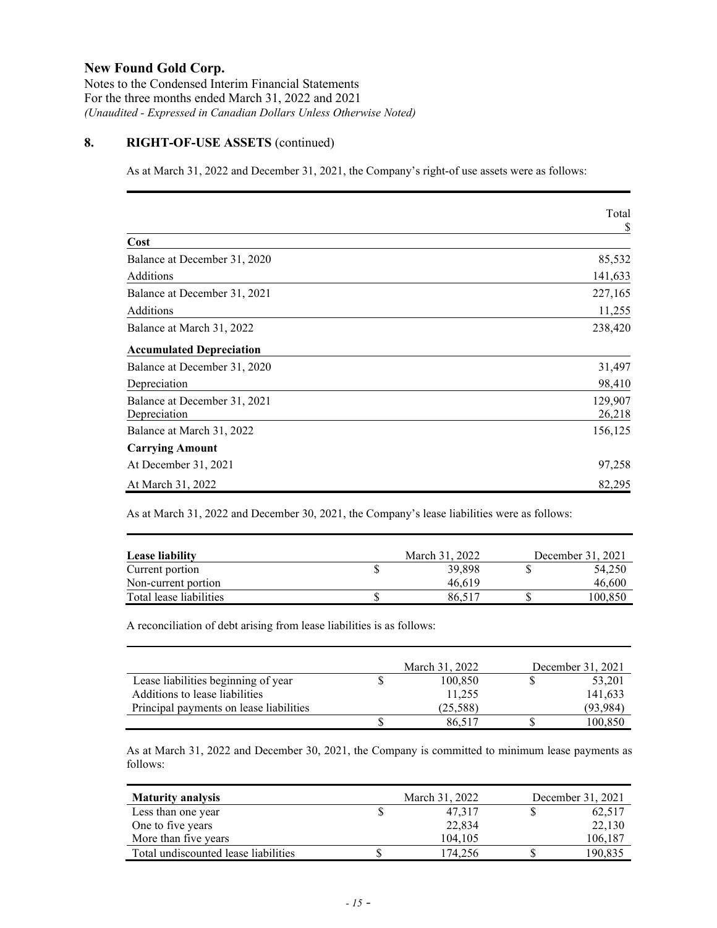Notes to the Condensed Interim Financial Statements For the three months ended March 31, 2022 and 2021 *(Unaudited - Expressed in Canadian Dollars Unless Otherwise Noted)*

# **8. RIGHT-OF-USE ASSETS** (continued)

As at March 31, 2022 and December 31, 2021, the Company's right-of use assets were as follows:

|                                 | Total   |
|---------------------------------|---------|
|                                 | \$      |
| Cost                            |         |
| Balance at December 31, 2020    | 85,532  |
| Additions                       | 141,633 |
| Balance at December 31, 2021    | 227,165 |
| Additions                       | 11,255  |
| Balance at March 31, 2022       | 238,420 |
| <b>Accumulated Depreciation</b> |         |
| Balance at December 31, 2020    | 31,497  |
| Depreciation                    | 98,410  |
| Balance at December 31, 2021    | 129,907 |
| Depreciation                    | 26,218  |
| Balance at March 31, 2022       | 156,125 |
| <b>Carrying Amount</b>          |         |
| At December 31, 2021            | 97,258  |
| At March 31, 2022               | 82,295  |

As at March 31, 2022 and December 30, 2021, the Company's lease liabilities were as follows:

| Lease liability         |  | March 31, 2022 | December 31, 2021 |  |
|-------------------------|--|----------------|-------------------|--|
| Current portion         |  | 39,898         | 54,250            |  |
| Non-current portion     |  | 46.619         | 46,600            |  |
| Total lease liabilities |  | 86.517         | 100.850           |  |

A reconciliation of debt arising from lease liabilities is as follows:

|                                         | March 31, 2022 | December 31, 2021 |
|-----------------------------------------|----------------|-------------------|
| Lease liabilities beginning of year     | 100.850        | 53,201            |
| Additions to lease liabilities          | 11.255         | 141,633           |
| Principal payments on lease liabilities | (25, 588)      | (93.984)          |
|                                         | 86.517         | 100,850           |

As at March 31, 2022 and December 30, 2021, the Company is committed to minimum lease payments as follows:

| <b>Maturity analysis</b>             |  | March 31, 2022 | December 31, 2021 |         |
|--------------------------------------|--|----------------|-------------------|---------|
| Less than one year                   |  | 47.317         |                   | 62,517  |
| One to five years                    |  | 22,834         |                   | 22,130  |
| More than five years                 |  | 104.105        |                   | 106,187 |
| Total undiscounted lease liabilities |  | 174,256        |                   | 190,835 |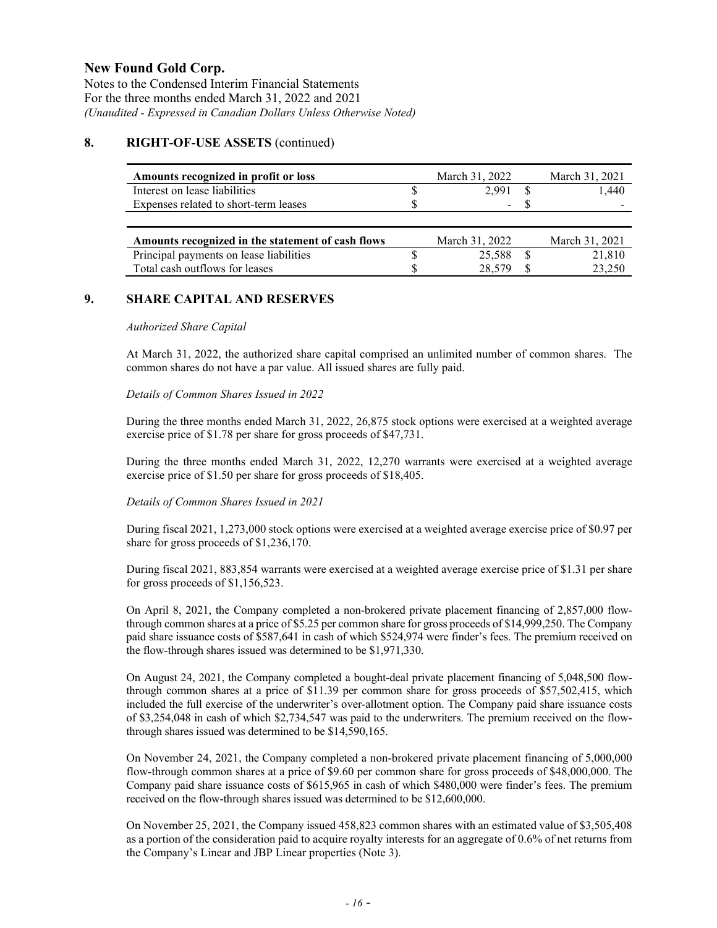Notes to the Condensed Interim Financial Statements For the three months ended March 31, 2022 and 2021 *(Unaudited - Expressed in Canadian Dollars Unless Otherwise Noted)*

## **8. RIGHT-OF-USE ASSETS** (continued)

| Amounts recognized in profit or loss              |   | March 31, 2022           | March 31, 2021 |
|---------------------------------------------------|---|--------------------------|----------------|
| Interest on lease liabilities                     |   | 2.991                    | 1.440          |
| Expenses related to short-term leases             | D | $\overline{\phantom{0}}$ |                |
|                                                   |   |                          |                |
| Amounts recognized in the statement of cash flows |   | March 31, 2022           | March 31, 2021 |
| Principal payments on lease liabilities           |   | 25.588                   | 21,810         |
| Total cash outflows for leases                    |   | 28.57                    | 23,250         |

## **9. SHARE CAPITAL AND RESERVES**

#### *Authorized Share Capital*

At March 31, 2022, the authorized share capital comprised an unlimited number of common shares. The common shares do not have a par value. All issued shares are fully paid.

### *Details of Common Shares Issued in 2022*

During the three months ended March 31, 2022, 26,875 stock options were exercised at a weighted average exercise price of \$1.78 per share for gross proceeds of \$47,731.

During the three months ended March 31, 2022, 12,270 warrants were exercised at a weighted average exercise price of \$1.50 per share for gross proceeds of \$18,405.

#### *Details of Common Shares Issued in 2021*

During fiscal 2021, 1,273,000 stock options were exercised at a weighted average exercise price of \$0.97 per share for gross proceeds of \$1,236,170.

During fiscal 2021, 883,854 warrants were exercised at a weighted average exercise price of \$1.31 per share for gross proceeds of \$1,156,523.

On April 8, 2021, the Company completed a non-brokered private placement financing of 2,857,000 flowthrough common shares at a price of \$5.25 per common share for gross proceeds of \$14,999,250. The Company paid share issuance costs of \$587,641 in cash of which \$524,974 were finder's fees. The premium received on the flow-through shares issued was determined to be \$1,971,330.

On August 24, 2021, the Company completed a bought-deal private placement financing of 5,048,500 flowthrough common shares at a price of \$11.39 per common share for gross proceeds of \$57,502,415, which included the full exercise of the underwriter's over-allotment option. The Company paid share issuance costs of \$3,254,048 in cash of which \$2,734,547 was paid to the underwriters. The premium received on the flowthrough shares issued was determined to be \$14,590,165.

On November 24, 2021, the Company completed a non-brokered private placement financing of 5,000,000 flow-through common shares at a price of \$9.60 per common share for gross proceeds of \$48,000,000. The Company paid share issuance costs of \$615,965 in cash of which \$480,000 were finder's fees. The premium received on the flow-through shares issued was determined to be \$12,600,000.

On November 25, 2021, the Company issued 458,823 common shares with an estimated value of \$3,505,408 as a portion of the consideration paid to acquire royalty interests for an aggregate of 0.6% of net returns from the Company's Linear and JBP Linear properties (Note 3).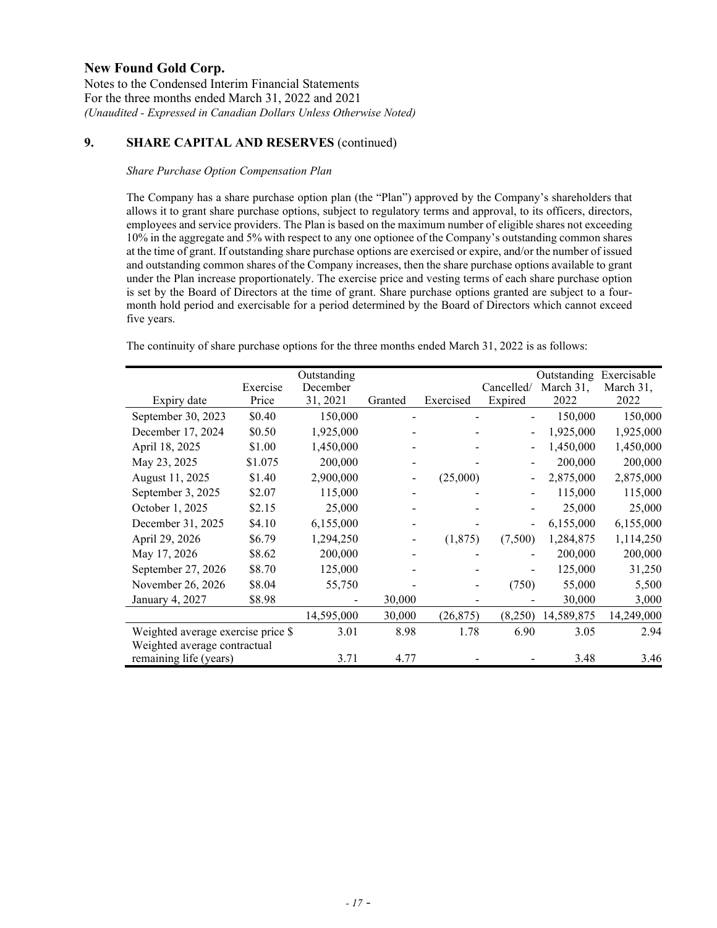Notes to the Condensed Interim Financial Statements For the three months ended March 31, 2022 and 2021 *(Unaudited - Expressed in Canadian Dollars Unless Otherwise Noted)*

# **9. SHARE CAPITAL AND RESERVES** (continued)

### *Share Purchase Option Compensation Plan*

The Company has a share purchase option plan (the "Plan") approved by the Company's shareholders that allows it to grant share purchase options, subject to regulatory terms and approval, to its officers, directors, employees and service providers. The Plan is based on the maximum number of eligible shares not exceeding 10% in the aggregate and 5% with respect to any one optionee of the Company's outstanding common shares at the time of grant. If outstanding share purchase options are exercised or expire, and/or the number of issued and outstanding common shares of the Company increases, then the share purchase options available to grant under the Plan increase proportionately. The exercise price and vesting terms of each share purchase option is set by the Board of Directors at the time of grant. Share purchase options granted are subject to a fourmonth hold period and exercisable for a period determined by the Board of Directors which cannot exceed five years.

The continuity of share purchase options for the three months ended March 31, 2022 is as follows:

|                                    | Exercise | Outstanding<br>December |         |           | Cancelled/               | Outstanding<br>March 31, | Exercisable<br>March 31, |
|------------------------------------|----------|-------------------------|---------|-----------|--------------------------|--------------------------|--------------------------|
| Expiry date                        | Price    | 31, 2021                | Granted | Exercised | Expired                  | 2022                     | 2022                     |
| September 30, 2023                 | \$0.40   | 150,000                 |         |           |                          | 150,000                  | 150,000                  |
| December 17, 2024                  | \$0.50   | 1,925,000               |         |           | $\overline{a}$           | 1,925,000                | 1,925,000                |
| April 18, 2025                     | \$1.00   | 1,450,000               |         |           | $\overline{\phantom{0}}$ | 1,450,000                | 1,450,000                |
| May 23, 2025                       | \$1.075  | 200,000                 |         |           |                          | 200,000                  | 200,000                  |
| August 11, 2025                    | \$1.40   | 2,900,000               |         | (25,000)  |                          | 2,875,000                | 2,875,000                |
| September 3, 2025                  | \$2.07   | 115,000                 |         |           |                          | 115,000                  | 115,000                  |
| October 1, 2025                    | \$2.15   | 25,000                  |         |           |                          | 25,000                   | 25,000                   |
| December 31, 2025                  | \$4.10   | 6,155,000               |         |           | $\overline{\phantom{0}}$ | 6,155,000                | 6,155,000                |
| April 29, 2026                     | \$6.79   | 1,294,250               |         | (1,875)   | (7,500)                  | 1,284,875                | 1,114,250                |
| May 17, 2026                       | \$8.62   | 200,000                 |         |           |                          | 200,000                  | 200,000                  |
| September 27, 2026                 | \$8.70   | 125,000                 |         |           |                          | 125,000                  | 31,250                   |
| November 26, 2026                  | \$8.04   | 55,750                  |         |           | (750)                    | 55,000                   | 5,500                    |
| January 4, 2027                    | \$8.98   |                         | 30,000  |           |                          | 30,000                   | 3,000                    |
|                                    |          | 14,595,000              | 30,000  | (26, 875) | (8,250)                  | 14,589,875               | 14,249,000               |
| Weighted average exercise price \$ |          | 3.01                    | 8.98    | 1.78      | 6.90                     | 3.05                     | 2.94                     |
| Weighted average contractual       |          |                         |         |           |                          |                          |                          |
| remaining life (years)             |          | 3.71                    | 4.77    |           |                          | 3.48                     | 3.46                     |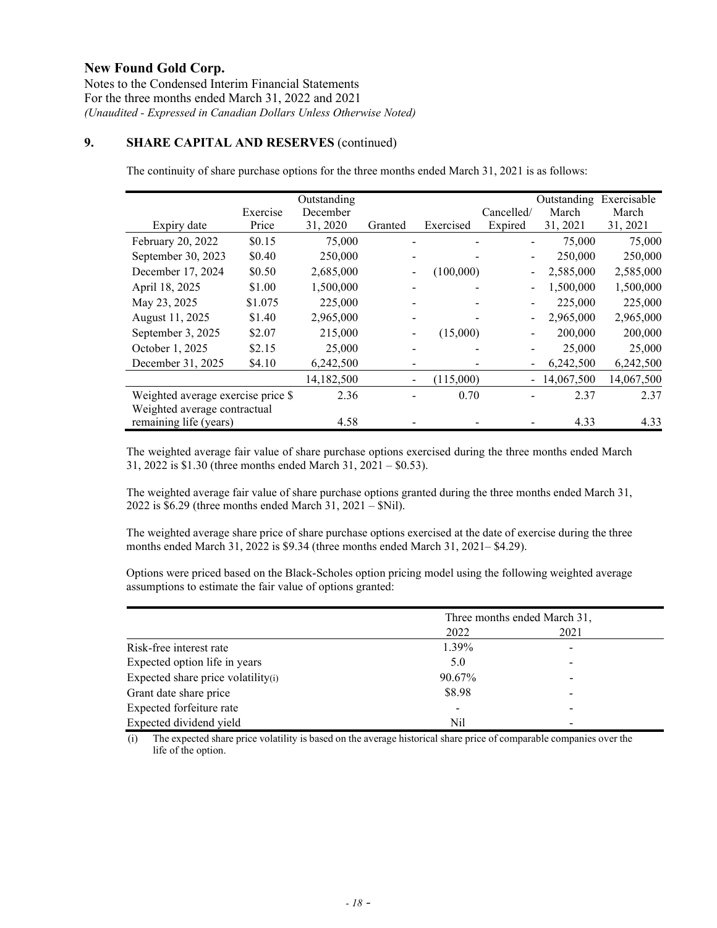Notes to the Condensed Interim Financial Statements For the three months ended March 31, 2022 and 2021 *(Unaudited - Expressed in Canadian Dollars Unless Otherwise Noted)*

# **9. SHARE CAPITAL AND RESERVES** (continued)

The continuity of share purchase options for the three months ended March 31, 2021 is as follows:

|                                    |          | Outstanding |         |           |            | Outstanding | Exercisable |
|------------------------------------|----------|-------------|---------|-----------|------------|-------------|-------------|
|                                    | Exercise | December    |         |           | Cancelled/ | March       | March       |
| Expiry date                        | Price    | 31, 2020    | Granted | Exercised | Expired    | 31, 2021    | 31, 2021    |
| February 20, 2022                  | \$0.15   | 75,000      |         |           |            | 75,000      | 75,000      |
| September 30, 2023                 | \$0.40   | 250,000     |         |           |            | 250,000     | 250,000     |
| December 17, 2024                  | \$0.50   | 2,685,000   |         | (100,000) |            | 2,585,000   | 2,585,000   |
| April 18, 2025                     | \$1.00   | 1,500,000   |         |           |            | 1,500,000   | 1,500,000   |
| May 23, 2025                       | \$1.075  | 225,000     |         |           |            | 225,000     | 225,000     |
| August 11, 2025                    | \$1.40   | 2,965,000   |         |           |            | 2,965,000   | 2,965,000   |
| September 3, 2025                  | \$2.07   | 215,000     |         | (15,000)  |            | 200,000     | 200,000     |
| October 1, 2025                    | \$2.15   | 25,000      |         |           |            | 25,000      | 25,000      |
| December 31, 2025                  | \$4.10   | 6,242,500   |         |           |            | 6,242,500   | 6,242,500   |
|                                    |          | 14,182,500  |         | (115,000) | $\sim$     | 14,067,500  | 14,067,500  |
| Weighted average exercise price \$ |          | 2.36        |         | 0.70      |            | 2.37        | 2.37        |
| Weighted average contractual       |          |             |         |           |            |             |             |
| remaining life (years)             |          | 4.58        |         |           |            | 4.33        | 4.33        |

The weighted average fair value of share purchase options exercised during the three months ended March 31, 2022 is \$1.30 (three months ended March 31, 2021 – \$0.53).

The weighted average fair value of share purchase options granted during the three months ended March 31, 2022 is \$6.29 (three months ended March 31, 2021 – \$Nil).

The weighted average share price of share purchase options exercised at the date of exercise during the three months ended March 31, 2022 is \$9.34 (three months ended March 31, 2021– \$4.29).

Options were priced based on the Black-Scholes option pricing model using the following weighted average assumptions to estimate the fair value of options granted:

|                                    | Three months ended March 31, |      |  |  |
|------------------------------------|------------------------------|------|--|--|
|                                    | 2022                         | 2021 |  |  |
| Risk-free interest rate            | 1.39%                        |      |  |  |
| Expected option life in years      | 5.0                          |      |  |  |
| Expected share price volatility(i) | 90.67%                       |      |  |  |
| Grant date share price             | \$8.98                       |      |  |  |
| Expected forfeiture rate           |                              |      |  |  |
| Expected dividend yield            | Nil                          |      |  |  |

(i) The expected share price volatility is based on the average historical share price of comparable companies over the life of the option.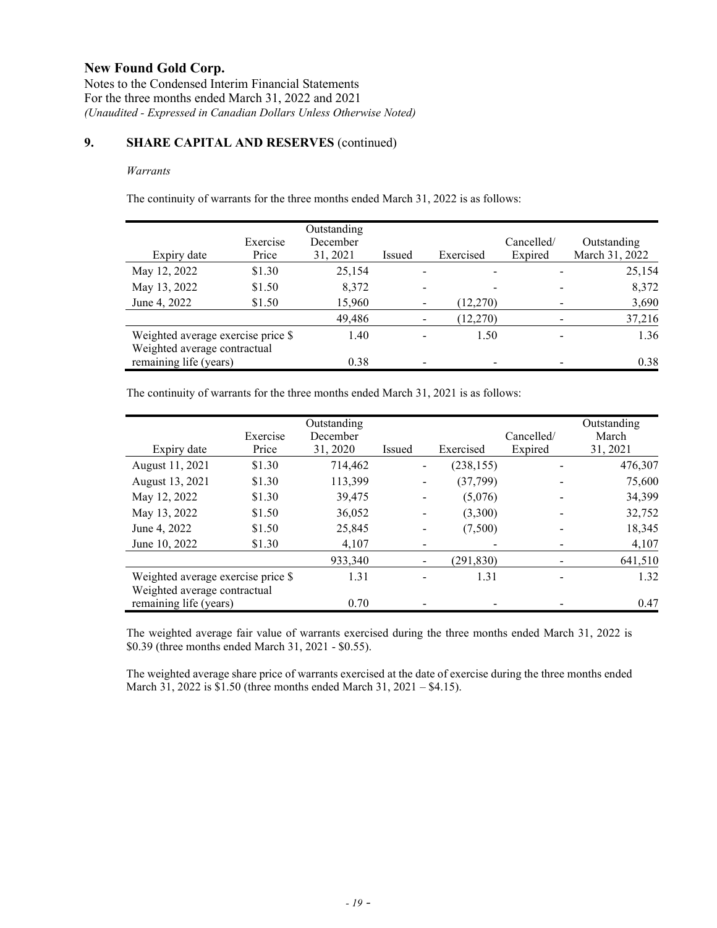Notes to the Condensed Interim Financial Statements For the three months ended March 31, 2022 and 2021 *(Unaudited - Expressed in Canadian Dollars Unless Otherwise Noted)*

# **9. SHARE CAPITAL AND RESERVES** (continued)

### *Warrants*

The continuity of warrants for the three months ended March 31, 2022 is as follows:

| Expiry date                                            | Exercise<br>Price | Outstanding<br>December<br>31, 2021 | Issued | Exercised | Cancelled/<br>Expired | Outstanding<br>March 31, 2022 |
|--------------------------------------------------------|-------------------|-------------------------------------|--------|-----------|-----------------------|-------------------------------|
| May 12, 2022                                           | \$1.30            | 25,154                              |        |           |                       | 25,154                        |
| May 13, 2022                                           | \$1.50            | 8,372                               |        |           |                       | 8,372                         |
| June 4, 2022                                           | \$1.50            | 15,960                              |        | (12,270)  |                       | 3,690                         |
|                                                        |                   | 49,486                              |        | (12,270)  |                       | 37,216                        |
| Weighted average exercise price \$                     |                   | 1.40                                |        | 1.50      |                       | 1.36                          |
| Weighted average contractual<br>remaining life (years) |                   | 0.38                                |        |           |                       | 0.38                          |

The continuity of warrants for the three months ended March 31, 2021 is as follows:

|                                    | Exercise | Outstanding<br>December |        |            | Cancelled/ | Outstanding<br>March |
|------------------------------------|----------|-------------------------|--------|------------|------------|----------------------|
| Expiry date                        | Price    | 31, 2020                | Issued | Exercised  | Expired    | 31, 2021             |
| August 11, 2021                    | \$1.30   | 714,462                 |        | (238, 155) |            | 476,307              |
| August 13, 2021                    | \$1.30   | 113,399                 |        | (37, 799)  |            | 75,600               |
| May 12, 2022                       | \$1.30   | 39,475                  |        | (5,076)    |            | 34,399               |
| May 13, 2022                       | \$1.50   | 36,052                  |        | (3,300)    |            | 32,752               |
| June 4, 2022                       | \$1.50   | 25,845                  |        | (7,500)    |            | 18,345               |
| June 10, 2022                      | \$1.30   | 4,107                   |        |            |            | 4,107                |
|                                    |          | 933,340                 |        | (291, 830) |            | 641,510              |
| Weighted average exercise price \$ |          | 1.31                    |        | 1.31       |            | 1.32                 |
| Weighted average contractual       |          |                         |        |            |            |                      |
| remaining life (years)             |          | 0.70                    |        |            |            | 0.47                 |

The weighted average fair value of warrants exercised during the three months ended March 31, 2022 is \$0.39 (three months ended March 31, 2021 - \$0.55).

The weighted average share price of warrants exercised at the date of exercise during the three months ended March 31, 2022 is \$1.50 (three months ended March 31, 2021 – \$4.15).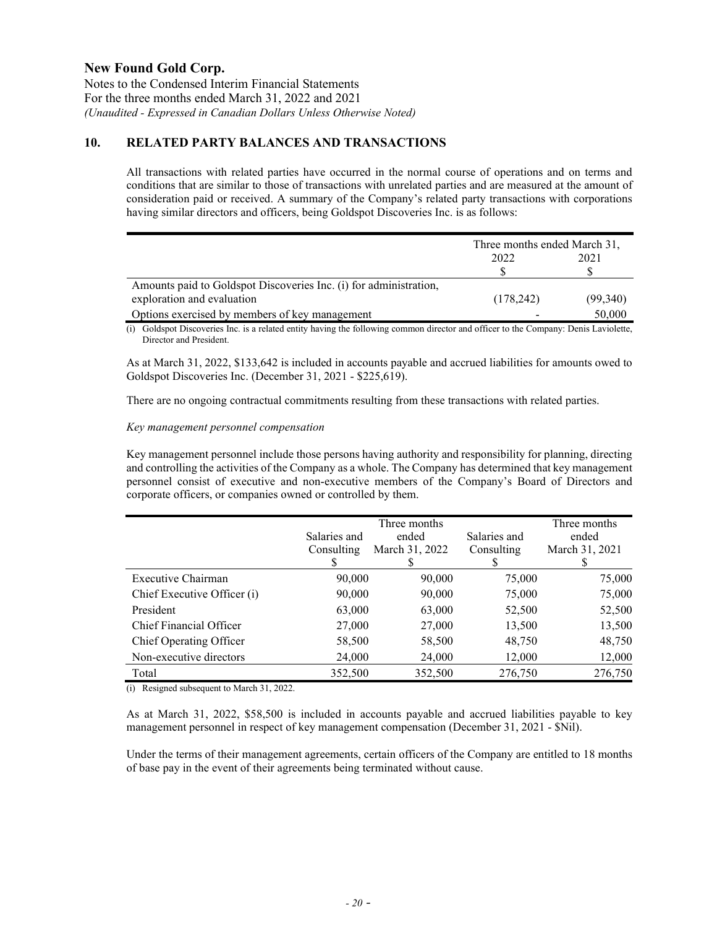Notes to the Condensed Interim Financial Statements For the three months ended March 31, 2022 and 2021 *(Unaudited - Expressed in Canadian Dollars Unless Otherwise Noted)*

## **10. RELATED PARTY BALANCES AND TRANSACTIONS**

All transactions with related parties have occurred in the normal course of operations and on terms and conditions that are similar to those of transactions with unrelated parties and are measured at the amount of consideration paid or received. A summary of the Company's related party transactions with corporations having similar directors and officers, being Goldspot Discoveries Inc. is as follows:

|                                                                   | Three months ended March 31, |          |  |
|-------------------------------------------------------------------|------------------------------|----------|--|
|                                                                   | 2021<br>2022                 |          |  |
|                                                                   |                              |          |  |
| Amounts paid to Goldspot Discoveries Inc. (i) for administration, |                              |          |  |
| exploration and evaluation                                        | (178, 242)                   | (99,340) |  |
| Options exercised by members of key management                    |                              | 50,000   |  |

(i) Goldspot Discoveries Inc. is a related entity having the following common director and officer to the Company: Denis Laviolette, Director and President.

As at March 31, 2022, \$133,642 is included in accounts payable and accrued liabilities for amounts owed to Goldspot Discoveries Inc. (December 31, 2021 - \$225,619).

There are no ongoing contractual commitments resulting from these transactions with related parties.

### *Key management personnel compensation*

Key management personnel include those persons having authority and responsibility for planning, directing and controlling the activities of the Company as a whole. The Company has determined that key management personnel consist of executive and non-executive members of the Company's Board of Directors and corporate officers, or companies owned or controlled by them.

|                             | Salaries and<br>Consulting | Three months<br>ended<br>March 31, 2022 | Salaries and<br>Consulting<br>S | Three months<br>ended<br>March 31, 2021 |
|-----------------------------|----------------------------|-----------------------------------------|---------------------------------|-----------------------------------------|
| Executive Chairman          | 90,000                     | 90,000                                  | 75,000                          | 75,000                                  |
| Chief Executive Officer (i) | 90,000                     | 90,000                                  | 75,000                          | 75,000                                  |
| President                   | 63,000                     | 63,000                                  | 52,500                          | 52,500                                  |
| Chief Financial Officer     | 27,000                     | 27,000                                  | 13,500                          | 13,500                                  |
| Chief Operating Officer     | 58,500                     | 58,500                                  | 48,750                          | 48,750                                  |
| Non-executive directors     | 24,000                     | 24,000                                  | 12,000                          | 12,000                                  |
| Total                       | 352,500                    | 352,500                                 | 276,750                         | 276,750                                 |

(i) Resigned subsequent to March 31, 2022.

As at March 31, 2022, \$58,500 is included in accounts payable and accrued liabilities payable to key management personnel in respect of key management compensation (December 31, 2021 - \$Nil).

Under the terms of their management agreements, certain officers of the Company are entitled to 18 months of base pay in the event of their agreements being terminated without cause.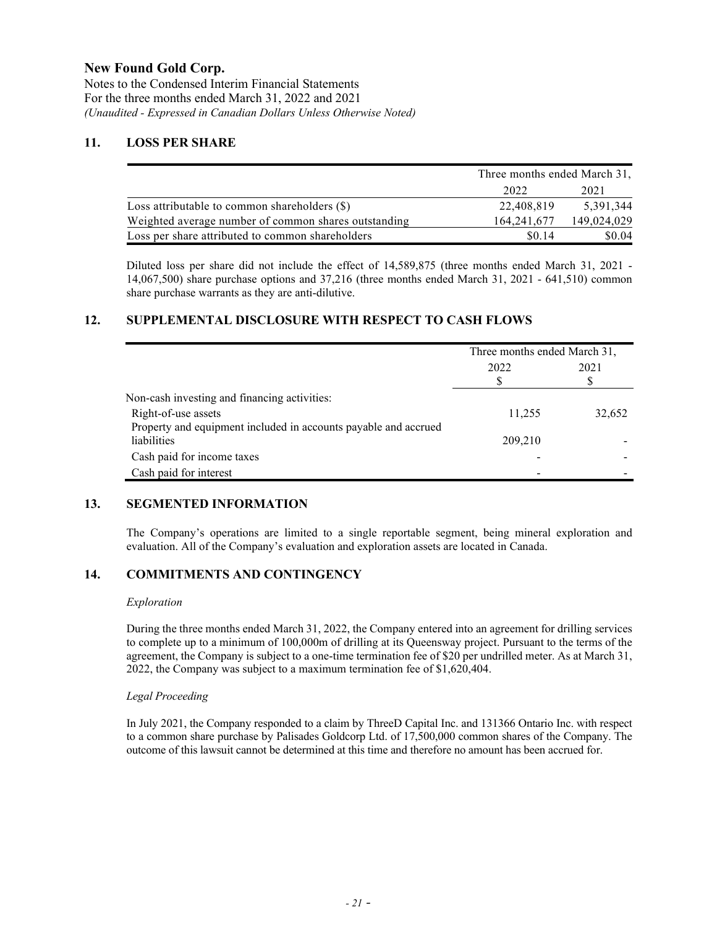Notes to the Condensed Interim Financial Statements For the three months ended March 31, 2022 and 2021 *(Unaudited - Expressed in Canadian Dollars Unless Otherwise Noted)*

## **11. LOSS PER SHARE**

|                                                      | Three months ended March 31, |             |  |
|------------------------------------------------------|------------------------------|-------------|--|
|                                                      | 2022                         | 2021        |  |
| Loss attributable to common shareholders $(\$)$      | 22,408,819                   | 5.391.344   |  |
| Weighted average number of common shares outstanding | 164, 241, 677                | 149,024,029 |  |
| Loss per share attributed to common shareholders     | \$0.14                       | \$0.04      |  |

Diluted loss per share did not include the effect of 14,589,875 (three months ended March 31, 2021 - 14,067,500) share purchase options and 37,216 (three months ended March 31, 2021 - 641,510) common share purchase warrants as they are anti-dilutive.

## **12. SUPPLEMENTAL DISCLOSURE WITH RESPECT TO CASH FLOWS**

|                                                                 | Three months ended March 31, |        |  |
|-----------------------------------------------------------------|------------------------------|--------|--|
|                                                                 | 2022                         | 2021   |  |
|                                                                 |                              | S      |  |
| Non-cash investing and financing activities:                    |                              |        |  |
| Right-of-use assets                                             | 11,255                       | 32,652 |  |
| Property and equipment included in accounts payable and accrued |                              |        |  |
| liabilities                                                     | 209,210                      |        |  |
| Cash paid for income taxes                                      |                              |        |  |
| Cash paid for interest                                          |                              |        |  |

## **13. SEGMENTED INFORMATION**

The Company's operations are limited to a single reportable segment, being mineral exploration and evaluation. All of the Company's evaluation and exploration assets are located in Canada.

# **14. COMMITMENTS AND CONTINGENCY**

#### *Exploration*

During the three months ended March 31, 2022, the Company entered into an agreement for drilling services to complete up to a minimum of 100,000m of drilling at its Queensway project. Pursuant to the terms of the agreement, the Company is subject to a one-time termination fee of \$20 per undrilled meter. As at March 31, 2022, the Company was subject to a maximum termination fee of \$1,620,404.

## *Legal Proceeding*

In July 2021, the Company responded to a claim by ThreeD Capital Inc. and 131366 Ontario Inc. with respect to a common share purchase by Palisades Goldcorp Ltd. of 17,500,000 common shares of the Company. The outcome of this lawsuit cannot be determined at this time and therefore no amount has been accrued for.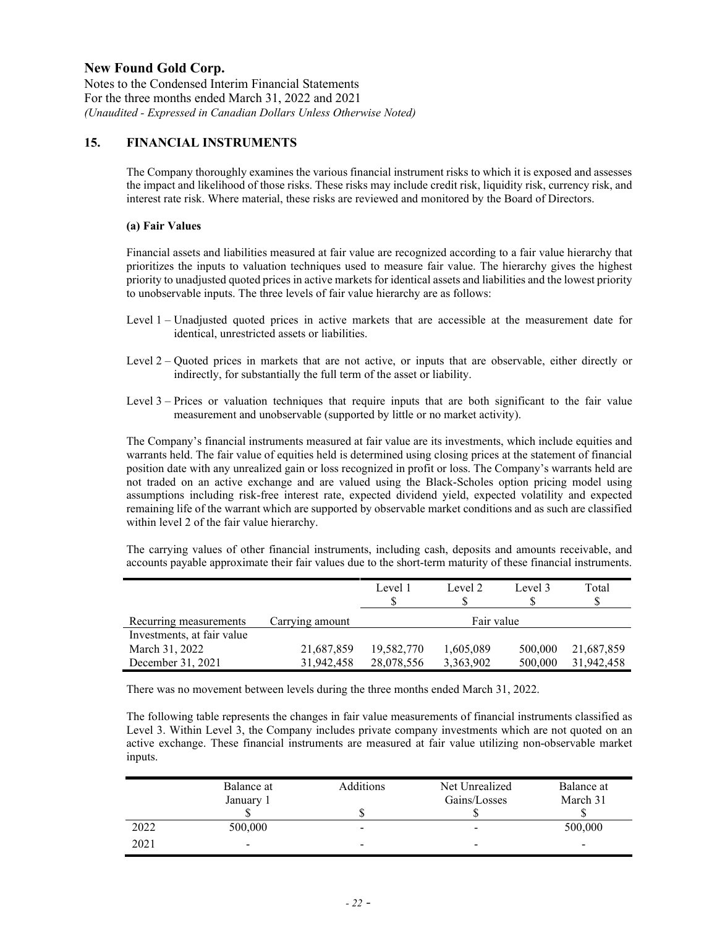Notes to the Condensed Interim Financial Statements For the three months ended March 31, 2022 and 2021 *(Unaudited - Expressed in Canadian Dollars Unless Otherwise Noted)*

## **15. FINANCIAL INSTRUMENTS**

The Company thoroughly examines the various financial instrument risks to which it is exposed and assesses the impact and likelihood of those risks. These risks may include credit risk, liquidity risk, currency risk, and interest rate risk. Where material, these risks are reviewed and monitored by the Board of Directors.

### **(a) Fair Values**

Financial assets and liabilities measured at fair value are recognized according to a fair value hierarchy that prioritizes the inputs to valuation techniques used to measure fair value. The hierarchy gives the highest priority to unadjusted quoted prices in active markets for identical assets and liabilities and the lowest priority to unobservable inputs. The three levels of fair value hierarchy are as follows:

- Level 1 Unadjusted quoted prices in active markets that are accessible at the measurement date for identical, unrestricted assets or liabilities.
- Level 2 Quoted prices in markets that are not active, or inputs that are observable, either directly or indirectly, for substantially the full term of the asset or liability.
- Level 3 Prices or valuation techniques that require inputs that are both significant to the fair value measurement and unobservable (supported by little or no market activity).

The Company's financial instruments measured at fair value are its investments, which include equities and warrants held. The fair value of equities held is determined using closing prices at the statement of financial position date with any unrealized gain or loss recognized in profit or loss. The Company's warrants held are not traded on an active exchange and are valued using the Black-Scholes option pricing model using assumptions including risk-free interest rate, expected dividend yield, expected volatility and expected remaining life of the warrant which are supported by observable market conditions and as such are classified within level 2 of the fair value hierarchy.

The carrying values of other financial instruments, including cash, deposits and amounts receivable, and accounts payable approximate their fair values due to the short-term maturity of these financial instruments.

|                            |                 | Level 1    | Level 2    | Level 3 | Total<br>S |
|----------------------------|-----------------|------------|------------|---------|------------|
| Recurring measurements     | Carrying amount |            | Fair value |         |            |
| Investments, at fair value |                 |            |            |         |            |
| March 31, 2022             | 21,687,859      | 19,582,770 | 1,605,089  | 500,000 | 21,687,859 |
| December 31, 2021          | 31,942,458      | 28,078,556 | 3,363,902  | 500,000 | 31.942.458 |

There was no movement between levels during the three months ended March 31, 2022.

The following table represents the changes in fair value measurements of financial instruments classified as Level 3. Within Level 3, the Company includes private company investments which are not quoted on an active exchange. These financial instruments are measured at fair value utilizing non-observable market inputs.

|      | Balance at<br>January 1  | Additions                | Net Unrealized<br>Gains/Losses | Balance at<br>March 31   |
|------|--------------------------|--------------------------|--------------------------------|--------------------------|
|      |                          |                          |                                |                          |
| 2022 | 500,000                  | $\overline{\phantom{a}}$ | $\overline{\phantom{0}}$       | 500,000                  |
| 2021 | $\overline{\phantom{a}}$ | $\sim$                   | $\overline{\phantom{0}}$       | $\overline{\phantom{a}}$ |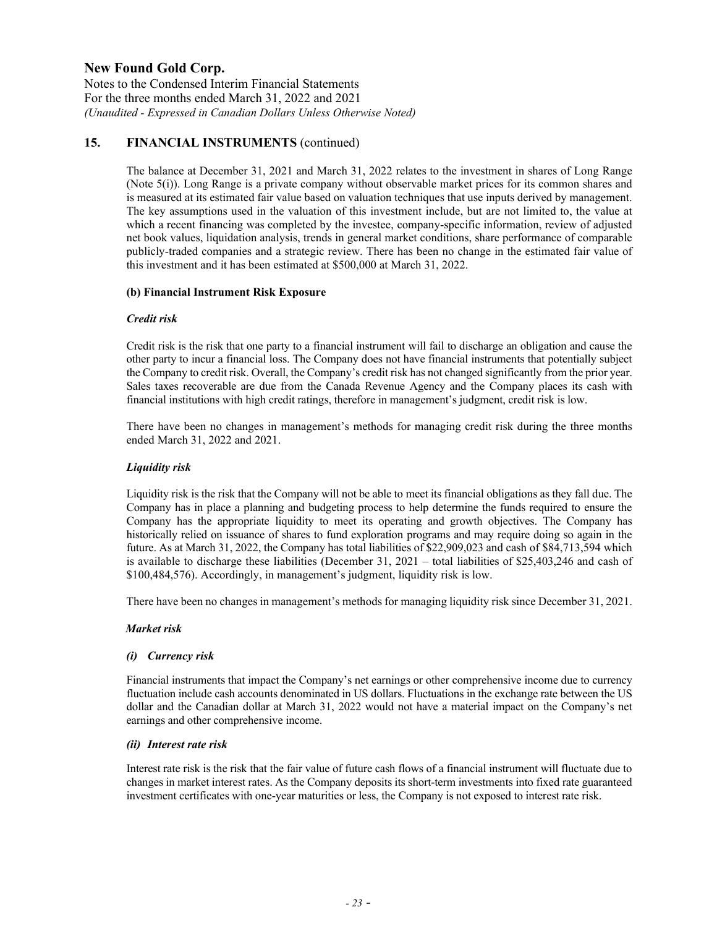Notes to the Condensed Interim Financial Statements For the three months ended March 31, 2022 and 2021 *(Unaudited - Expressed in Canadian Dollars Unless Otherwise Noted)*

## **15. FINANCIAL INSTRUMENTS** (continued)

The balance at December 31, 2021 and March 31, 2022 relates to the investment in shares of Long Range (Note 5(i)). Long Range is a private company without observable market prices for its common shares and is measured at its estimated fair value based on valuation techniques that use inputs derived by management. The key assumptions used in the valuation of this investment include, but are not limited to, the value at which a recent financing was completed by the investee, company-specific information, review of adjusted net book values, liquidation analysis, trends in general market conditions, share performance of comparable publicly-traded companies and a strategic review. There has been no change in the estimated fair value of this investment and it has been estimated at \$500,000 at March 31, 2022.

### **(b) Financial Instrument Risk Exposure**

### *Credit risk*

Credit risk is the risk that one party to a financial instrument will fail to discharge an obligation and cause the other party to incur a financial loss. The Company does not have financial instruments that potentially subject the Company to credit risk. Overall, the Company's credit risk has not changed significantly from the prior year. Sales taxes recoverable are due from the Canada Revenue Agency and the Company places its cash with financial institutions with high credit ratings, therefore in management's judgment, credit risk is low.

There have been no changes in management's methods for managing credit risk during the three months ended March 31, 2022 and 2021.

### *Liquidity risk*

Liquidity risk is the risk that the Company will not be able to meet its financial obligations as they fall due. The Company has in place a planning and budgeting process to help determine the funds required to ensure the Company has the appropriate liquidity to meet its operating and growth objectives. The Company has historically relied on issuance of shares to fund exploration programs and may require doing so again in the future. As at March 31, 2022, the Company has total liabilities of \$22,909,023 and cash of \$84,713,594 which is available to discharge these liabilities (December 31, 2021 – total liabilities of \$25,403,246 and cash of \$100,484,576). Accordingly, in management's judgment, liquidity risk is low.

There have been no changes in management's methods for managing liquidity risk since December 31, 2021.

## *Market risk*

#### *(i) Currency risk*

Financial instruments that impact the Company's net earnings or other comprehensive income due to currency fluctuation include cash accounts denominated in US dollars. Fluctuations in the exchange rate between the US dollar and the Canadian dollar at March 31, 2022 would not have a material impact on the Company's net earnings and other comprehensive income.

#### *(ii) Interest rate risk*

Interest rate risk is the risk that the fair value of future cash flows of a financial instrument will fluctuate due to changes in market interest rates. As the Company deposits its short-term investments into fixed rate guaranteed investment certificates with one-year maturities or less, the Company is not exposed to interest rate risk.